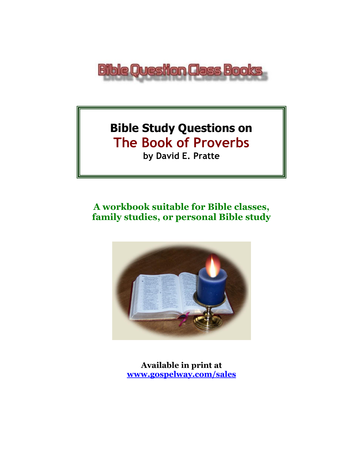

# **Bible Study Questions on The Book of Proverbs**

**by David E. Pratte**

# **A workbook suitable for Bible classes, family studies, or personal Bible study**



**Available in print at [www.gospelway.com/sales](https://www.gospelway.com/sales)**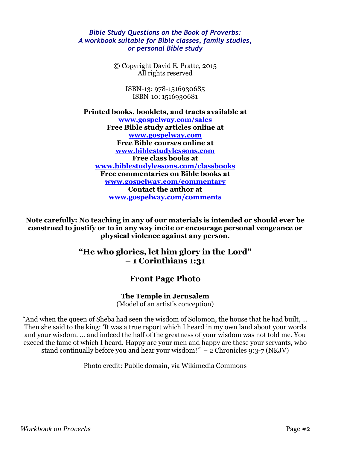#### *Bible Study Questions on the Book of Proverbs: A workbook suitable for Bible classes, family studies, or personal Bible study*

© Copyright David E. Pratte, 2015 All rights reserved

> ISBN-13: 978-1516930685 ISBN-10: 1516930681

**Printed books, booklets, and tracts available at [www.gospelway.com/sales](https://www.gospelway.com/sales) Free Bible study articles online at [www.gospelway.com](http://www.gospelway.com/) Free Bible courses online at [www.biblestudylessons.com](http://www.biblestudylessons.com/) Free class books at [www.biblestudylessons.com/classbooks](http://www.biblestudylessons.com/classbooks) Free commentaries on Bible books at [www.gospelway.com/commentary](http://www.gospelway.com/commentary) Contact the author at [www.gospelway.com/comments](http://www.gospelway.com/comments)**

**Note carefully: No teaching in any of our materials is intended or should ever be construed to justify or to in any way incite or encourage personal vengeance or physical violence against any person.**

### **"He who glories, let him glory in the Lord" – 1 Corinthians 1:31**

### **Front Page Photo**

**The Temple in Jerusalem** (Model of an artist's conception)

"And when the queen of Sheba had seen the wisdom of Solomon, the house that he had built, … Then she said to the king: 'It was a true report which I heard in my own land about your words and your wisdom. … and indeed the half of the greatness of your wisdom was not told me. You exceed the fame of which I heard. Happy are your men and happy are these your servants, who stand continually before you and hear your wisdom!'" – 2 Chronicles 9:3-7 (NKJV)

Photo credit: Public domain, via Wikimedia Commons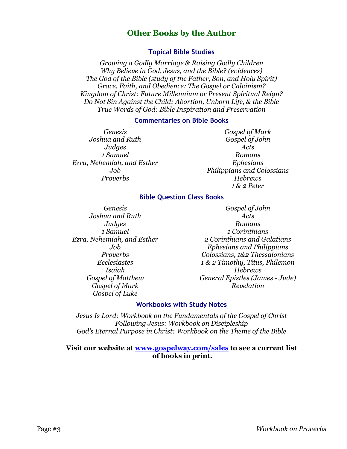### **Other Books by the Author**

#### **Topical Bible Studies**

*Growing a Godly Marriage & Raising Godly Children Why Believe in God, Jesus, and the Bible? (evidences) The God of the Bible (study of the Father, Son, and Holy Spirit) Grace, Faith, and Obedience: The Gospel or Calvinism? Kingdom of Christ: Future Millennium or Present Spiritual Reign? Do Not Sin Against the Child: Abortion, Unborn Life, & the Bible True Words of God: Bible Inspiration and Preservation*

#### **Commentaries on Bible Books**

*Genesis Joshua and Ruth Judges 1 Samuel Ezra, Nehemiah, and Esther Job Proverbs*

*Gospel of Mark Gospel of John Acts Romans Ephesians Philippians and Colossians Hebrews 1 & 2 Peter*

#### **Bible Question Class Books**

*Genesis Joshua and Ruth Judges 1 Samuel Ezra, Nehemiah, and Esther Job Proverbs Ecclesiastes Isaiah Gospel of Matthew Gospel of Mark Gospel of Luke*

*Gospel of John Acts Romans 1 Corinthians 2 Corinthians and Galatians Ephesians and Philippians Colossians, 1&2 Thessalonians 1 & 2 Timothy, Titus, Philemon Hebrews General Epistles (James - Jude) Revelation*

#### **Workbooks with Study Notes**

*Jesus Is Lord: Workbook on the Fundamentals of the Gospel of Christ Following Jesus: Workbook on Discipleship God's Eternal Purpose in Christ: Workbook on the Theme of the Bible*

#### **Visit our website at [www.gospelway.com/sales](https://www.gospelway.com/sales) to see a current list of books in print.**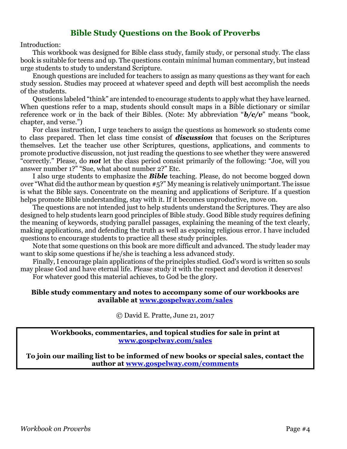#### **Bible Study Questions on the Book of Proverbs**

Introduction:

This workbook was designed for Bible class study, family study, or personal study. The class book is suitable for teens and up. The questions contain minimal human commentary, but instead urge students to study to understand Scripture.

Enough questions are included for teachers to assign as many questions as they want for each study session. Studies may proceed at whatever speed and depth will best accomplish the needs of the students.

Questions labeled "think" are intended to encourage students to apply what they have learned. When questions refer to a map, students should consult maps in a Bible dictionary or similar reference work or in the back of their Bibles. (Note: My abbreviation "*b/c/v*" means "book, chapter, and verse.")

For class instruction, I urge teachers to assign the questions as homework so students come to class prepared. Then let class time consist of *discussion* that focuses on the Scriptures themselves. Let the teacher use other Scriptures, questions, applications, and comments to promote productive discussion, not just reading the questions to see whether they were answered "correctly." Please, do *not* let the class period consist primarily of the following: "Joe, will you answer number 1?" "Sue, what about number 2?" Etc.

I also urge students to emphasize the *Bible* teaching. Please, do not become bogged down over "What did the author mean by question #5?" My meaning is relatively unimportant. The issue is what the Bible says. Concentrate on the meaning and applications of Scripture. If a question helps promote Bible understanding, stay with it. If it becomes unproductive, move on.

The questions are not intended just to help students understand the Scriptures. They are also designed to help students learn good principles of Bible study. Good Bible study requires defining the meaning of keywords, studying parallel passages, explaining the meaning of the text clearly, making applications, and defending the truth as well as exposing religious error. I have included questions to encourage students to practice all these study principles.

Note that some questions on this book are more difficult and advanced. The study leader may want to skip some questions if he/she is teaching a less advanced study.

Finally, I encourage plain applications of the principles studied. God's word is written so souls may please God and have eternal life. Please study it with the respect and devotion it deserves! For whatever good this material achieves, to God be the glory.

#### **Bible study commentary and notes to accompany some of our workbooks are available at [www.gospelway.com/sales](https://www.gospelway.com/sales)**

© David E. Pratte, June 21, 2017

**Workbooks, commentaries, and topical studies for sale in print at [www.gospelway.com/sales](https://www.gospelway.com/sales)**

**To join our mailing list to be informed of new books or special sales, contact the author at [www.gospelway.com/comments](http://www.gospelway.com/comments)**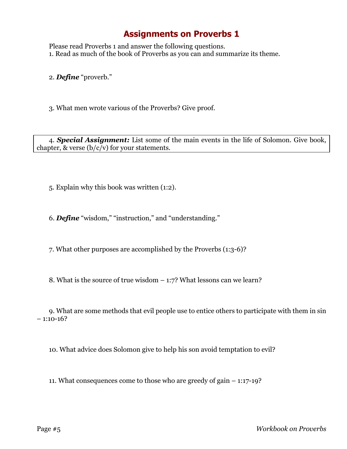Please read Proverbs 1 and answer the following questions. 1. Read as much of the book of Proverbs as you can and summarize its theme.

2. *Define* "proverb."

3. What men wrote various of the Proverbs? Give proof.

4. *Special Assignment:* List some of the main events in the life of Solomon. Give book, chapter, & verse  $(b/c/v)$  for your statements.

5. Explain why this book was written (1:2).

6. *Define* "wisdom," "instruction," and "understanding."

7. What other purposes are accomplished by the Proverbs (1:3-6)?

8. What is the source of true wisdom – 1:7? What lessons can we learn?

9. What are some methods that evil people use to entice others to participate with them in sin  $-1:10-16?$ 

10. What advice does Solomon give to help his son avoid temptation to evil?

11. What consequences come to those who are greedy of gain – 1:17-19?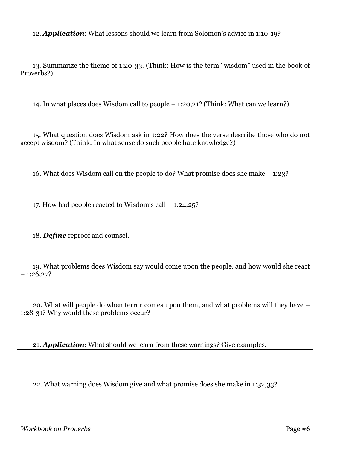12. *Application*: What lessons should we learn from Solomon's advice in 1:10-19?

13. Summarize the theme of 1:20-33. (Think: How is the term "wisdom" used in the book of Proverbs?)

14. In what places does Wisdom call to people – 1:20,21? (Think: What can we learn?)

15. What question does Wisdom ask in 1:22? How does the verse describe those who do not accept wisdom? (Think: In what sense do such people hate knowledge?)

16. What does Wisdom call on the people to do? What promise does she make – 1:23?

17. How had people reacted to Wisdom's call – 1:24,25?

18. *Define* reproof and counsel.

19. What problems does Wisdom say would come upon the people, and how would she react  $-1:26,27?$ 

20. What will people do when terror comes upon them, and what problems will they have – 1:28-31? Why would these problems occur?

21. *Application*: What should we learn from these warnings? Give examples.

22. What warning does Wisdom give and what promise does she make in 1:32,33?

*Workbook on Proverbs* Page #6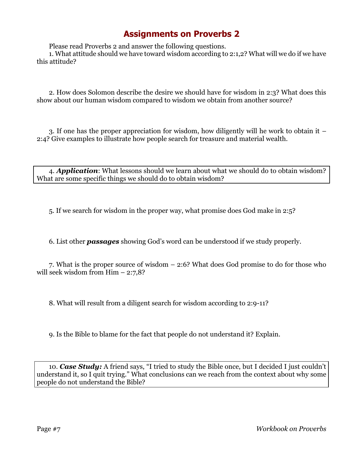Please read Proverbs 2 and answer the following questions.

1. What attitude should we have toward wisdom according to 2:1,2? What will we do if we have this attitude?

2. How does Solomon describe the desire we should have for wisdom in 2:3? What does this show about our human wisdom compared to wisdom we obtain from another source?

3. If one has the proper appreciation for wisdom, how diligently will he work to obtain it – 2:4? Give examples to illustrate how people search for treasure and material wealth.

4. *Application*: What lessons should we learn about what we should do to obtain wisdom? What are some specific things we should do to obtain wisdom?

5. If we search for wisdom in the proper way, what promise does God make in 2:5?

6. List other *passages* showing God's word can be understood if we study properly.

7. What is the proper source of wisdom – 2:6? What does God promise to do for those who will seek wisdom from  $\text{Him} - 2:7,8$ ?

8. What will result from a diligent search for wisdom according to 2:9-11?

9. Is the Bible to blame for the fact that people do not understand it? Explain.

10. *Case Study:* A friend says, "I tried to study the Bible once, but I decided I just couldn't understand it, so I quit trying." What conclusions can we reach from the context about why some people do not understand the Bible?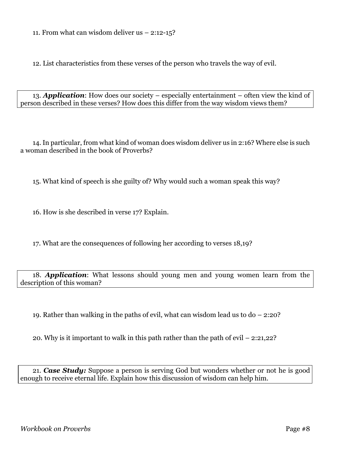11. From what can wisdom deliver us  $-2:12-15$ ?

12. List characteristics from these verses of the person who travels the way of evil.

13. *Application*: How does our society – especially entertainment – often view the kind of person described in these verses? How does this differ from the way wisdom views them?

14. In particular, from what kind of woman does wisdom deliver us in 2:16? Where else is such a woman described in the book of Proverbs?

15. What kind of speech is she guilty of? Why would such a woman speak this way?

16. How is she described in verse 17? Explain.

17. What are the consequences of following her according to verses 18,19?

18. *Application*: What lessons should young men and young women learn from the description of this woman?

19. Rather than walking in the paths of evil, what can wisdom lead us to do – 2:20?

20. Why is it important to walk in this path rather than the path of evil – 2:21,22?

21. *Case Study:* Suppose a person is serving God but wonders whether or not he is good enough to receive eternal life. Explain how this discussion of wisdom can help him.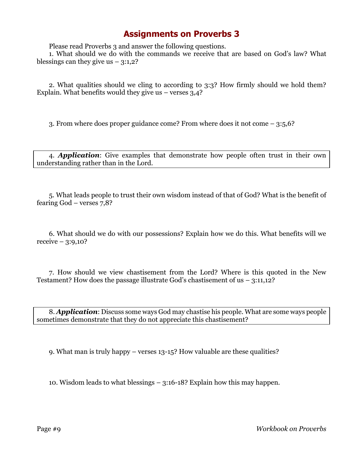Please read Proverbs 3 and answer the following questions.

1. What should we do with the commands we receive that are based on God's law? What blessings can they give us  $-3:1,2$ ?

2. What qualities should we cling to according to 3:3? How firmly should we hold them? Explain. What benefits would they give us  $-$  verses 3,4?

3. From where does proper guidance come? From where does it not come – 3:5,6?

4. *Application*: Give examples that demonstrate how people often trust in their own understanding rather than in the Lord.

5. What leads people to trust their own wisdom instead of that of God? What is the benefit of fearing God – verses 7,8?

6. What should we do with our possessions? Explain how we do this. What benefits will we  $receive - 3:9,10?$ 

7. How should we view chastisement from the Lord? Where is this quoted in the New Testament? How does the passage illustrate God's chastisement of us – 3:11,12?

8. *Application*: Discuss some ways God may chastise his people. What are some ways people sometimes demonstrate that they do not appreciate this chastisement?

9. What man is truly happy – verses 13-15? How valuable are these qualities?

10. Wisdom leads to what blessings – 3:16-18? Explain how this may happen.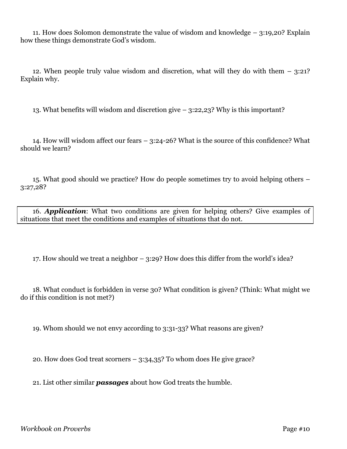11. How does Solomon demonstrate the value of wisdom and knowledge – 3:19,20? Explain how these things demonstrate God's wisdom.

12. When people truly value wisdom and discretion, what will they do with them – 3:21? Explain why.

13. What benefits will wisdom and discretion give – 3:22,23? Why is this important?

14. How will wisdom affect our fears – 3:24-26? What is the source of this confidence? What should we learn?

15. What good should we practice? How do people sometimes try to avoid helping others – 3:27,28?

16. *Application*: What two conditions are given for helping others? Give examples of situations that meet the conditions and examples of situations that do not.

17. How should we treat a neighbor – 3:29? How does this differ from the world's idea?

18. What conduct is forbidden in verse 30? What condition is given? (Think: What might we do if this condition is not met?)

19. Whom should we not envy according to 3:31-33? What reasons are given?

20. How does God treat scorners – 3:34,35? To whom does He give grace?

21. List other similar *passages* about how God treats the humble.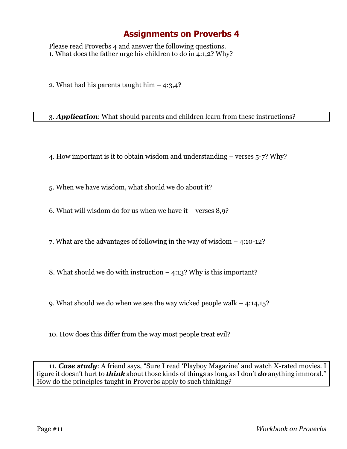Please read Proverbs 4 and answer the following questions. 1. What does the father urge his children to do in 4:1,2? Why?

2. What had his parents taught him  $-$  4:3,4?

3. *Application*: What should parents and children learn from these instructions?

4. How important is it to obtain wisdom and understanding – verses 5-7? Why?

5. When we have wisdom, what should we do about it?

6. What will wisdom do for us when we have it – verses 8,9?

7. What are the advantages of following in the way of wisdom – 4:10-12?

8. What should we do with instruction – 4:13? Why is this important?

9. What should we do when we see the way wicked people walk – 4:14,15?

10. How does this differ from the way most people treat evil?

11. *Case study*: A friend says, "Sure I read 'Playboy Magazine' and watch X-rated movies. I figure it doesn't hurt to *think* about those kinds of things as long as I don't *do* anything immoral." How do the principles taught in Proverbs apply to such thinking?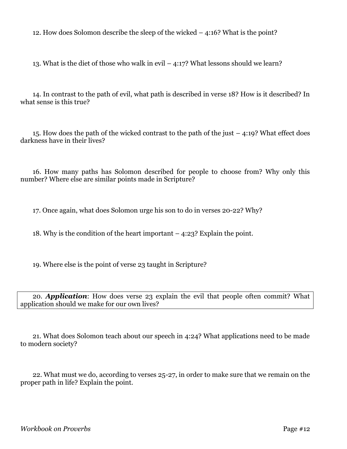12. How does Solomon describe the sleep of the wicked – 4:16? What is the point?

13. What is the diet of those who walk in evil  $-$  4:17? What lessons should we learn?

14. In contrast to the path of evil, what path is described in verse 18? How is it described? In what sense is this true?

15. How does the path of the wicked contrast to the path of the just – 4:19? What effect does darkness have in their lives?

16. How many paths has Solomon described for people to choose from? Why only this number? Where else are similar points made in Scripture?

17. Once again, what does Solomon urge his son to do in verses 20-22? Why?

18. Why is the condition of the heart important – 4:23? Explain the point.

19. Where else is the point of verse 23 taught in Scripture?

20. *Application*: How does verse 23 explain the evil that people often commit? What application should we make for our own lives?

21. What does Solomon teach about our speech in 4:24? What applications need to be made to modern society?

22. What must we do, according to verses 25-27, in order to make sure that we remain on the proper path in life? Explain the point.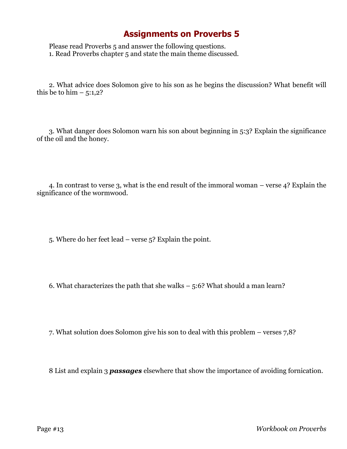Please read Proverbs 5 and answer the following questions. 1. Read Proverbs chapter 5 and state the main theme discussed.

2. What advice does Solomon give to his son as he begins the discussion? What benefit will this be to him  $-5:1,2$ ?

3. What danger does Solomon warn his son about beginning in 5:3? Explain the significance of the oil and the honey.

4. In contrast to verse 3, what is the end result of the immoral woman – verse 4? Explain the significance of the wormwood.

5. Where do her feet lead – verse 5? Explain the point.

6. What characterizes the path that she walks – 5:6? What should a man learn?

7. What solution does Solomon give his son to deal with this problem – verses 7,8?

8 List and explain 3 *passages* elsewhere that show the importance of avoiding fornication.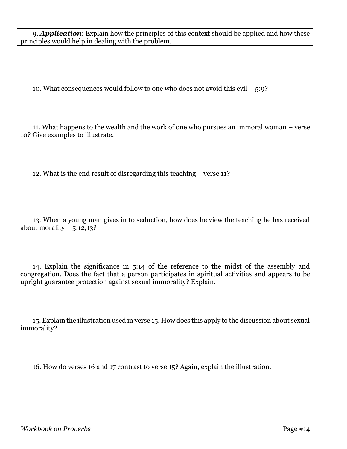9. *Application*: Explain how the principles of this context should be applied and how these principles would help in dealing with the problem.

10. What consequences would follow to one who does not avoid this evil  $-5:9$ ?

11. What happens to the wealth and the work of one who pursues an immoral woman – verse 10? Give examples to illustrate.

12. What is the end result of disregarding this teaching – verse 11?

13. When a young man gives in to seduction, how does he view the teaching he has received about morality  $-5:12,13$ ?

14. Explain the significance in 5:14 of the reference to the midst of the assembly and congregation. Does the fact that a person participates in spiritual activities and appears to be upright guarantee protection against sexual immorality? Explain.

15. Explain the illustration used in verse 15. How does this apply to the discussion about sexual immorality?

16. How do verses 16 and 17 contrast to verse 15? Again, explain the illustration.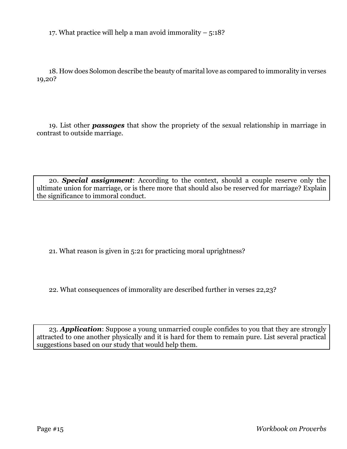17. What practice will help a man avoid immorality  $-5:18$ ?

18. How does Solomon describe the beauty of marital love as compared to immorality in verses 19,20?

19. List other *passages* that show the propriety of the sexual relationship in marriage in contrast to outside marriage.

20. *Special assignment*: According to the context, should a couple reserve only the ultimate union for marriage, or is there more that should also be reserved for marriage? Explain the significance to immoral conduct.

21. What reason is given in 5:21 for practicing moral uprightness?

22. What consequences of immorality are described further in verses 22,23?

23. *Application*: Suppose a young unmarried couple confides to you that they are strongly attracted to one another physically and it is hard for them to remain pure. List several practical suggestions based on our study that would help them.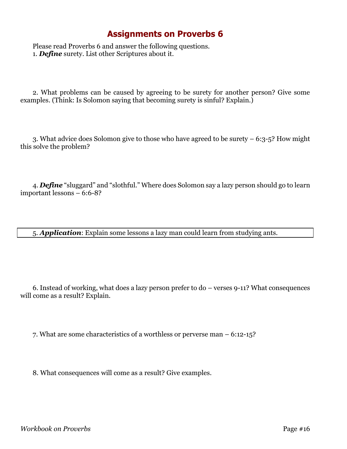Please read Proverbs 6 and answer the following questions. 1. *Define* surety. List other Scriptures about it.

2. What problems can be caused by agreeing to be surety for another person? Give some examples. (Think: Is Solomon saying that becoming surety is sinful? Explain.)

3. What advice does Solomon give to those who have agreed to be surety – 6:3-5? How might this solve the problem?

4. *Define* "sluggard" and "slothful." Where does Solomon say a lazy person should go to learn important lessons – 6:6-8?

5. *Application*: Explain some lessons a lazy man could learn from studying ants.

6. Instead of working, what does a lazy person prefer to do – verses 9-11? What consequences will come as a result? Explain.

7. What are some characteristics of a worthless or perverse man – 6:12-15?

8. What consequences will come as a result? Give examples.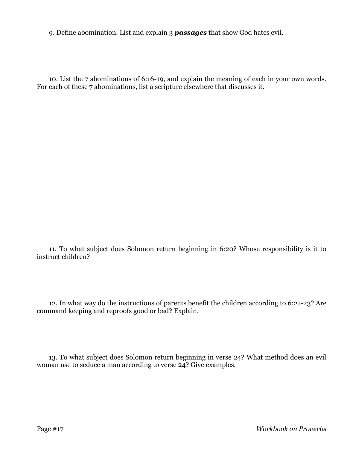9. Define abomination. List and explain 3 *passages* that show God hates evil.

10. List the 7 abominations of 6:16-19, and explain the meaning of each in your own words. For each of these 7 abominations, list a scripture elsewhere that discusses it.

11. To what subject does Solomon return beginning in 6:20? Whose responsibility is it to instruct children?

12. In what way do the instructions of parents benefit the children according to 6:21-23? Are command keeping and reproofs good or bad? Explain.

13. To what subject does Solomon return beginning in verse 24? What method does an evil woman use to seduce a man according to verse  $24$ ? Give examples.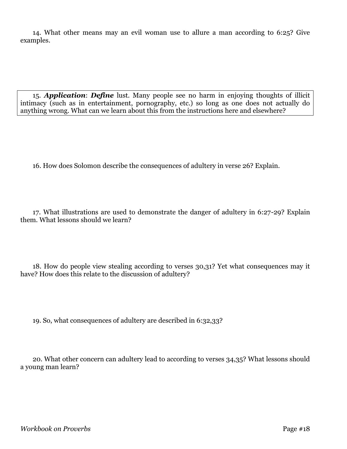14. What other means may an evil woman use to allure a man according to 6:25? Give examples.

15. *Application*: *Define* lust. Many people see no harm in enjoying thoughts of illicit intimacy (such as in entertainment, pornography, etc.) so long as one does not actually do anything wrong. What can we learn about this from the instructions here and elsewhere?

16. How does Solomon describe the consequences of adultery in verse 26? Explain.

17. What illustrations are used to demonstrate the danger of adultery in 6:27-29? Explain them. What lessons should we learn?

18. How do people view stealing according to verses 30,31? Yet what consequences may it have? How does this relate to the discussion of adultery?

19. So, what consequences of adultery are described in 6:32,33?

20. What other concern can adultery lead to according to verses 34,35? What lessons should a young man learn?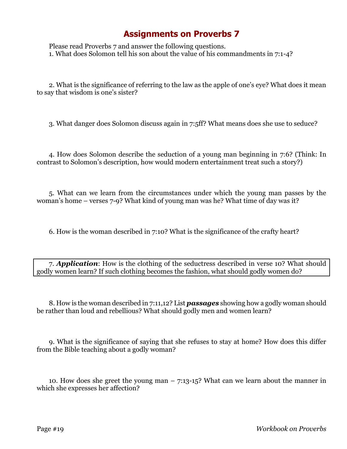Please read Proverbs 7 and answer the following questions. 1. What does Solomon tell his son about the value of his commandments in 7:1-4?

2. What is the significance of referring to the law as the apple of one's eye? What does it mean to say that wisdom is one's sister?

3. What danger does Solomon discuss again in 7:5ff? What means does she use to seduce?

4. How does Solomon describe the seduction of a young man beginning in 7:6? (Think: In contrast to Solomon's description, how would modern entertainment treat such a story?)

5. What can we learn from the circumstances under which the young man passes by the woman's home – verses 7-9? What kind of young man was he? What time of day was it?

6. How is the woman described in 7:10? What is the significance of the crafty heart?

7. *Application*: How is the clothing of the seductress described in verse 10? What should godly women learn? If such clothing becomes the fashion, what should godly women do?

8. How is the woman described in 7:11,12? List *passages* showing how a godly woman should be rather than loud and rebellious? What should godly men and women learn?

9. What is the significance of saying that she refuses to stay at home? How does this differ from the Bible teaching about a godly woman?

10. How does she greet the young man – 7:13-15? What can we learn about the manner in which she expresses her affection?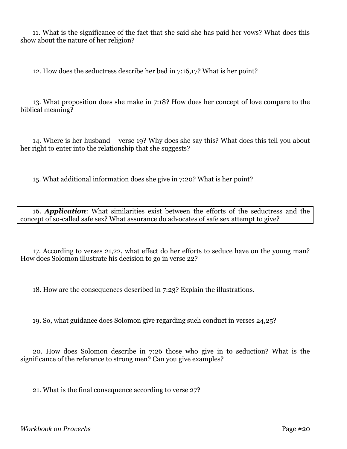11. What is the significance of the fact that she said she has paid her vows? What does this show about the nature of her religion?

12. How does the seductress describe her bed in 7:16,17? What is her point?

13. What proposition does she make in 7:18? How does her concept of love compare to the biblical meaning?

14. Where is her husband – verse 19? Why does she say this? What does this tell you about her right to enter into the relationship that she suggests?

15. What additional information does she give in 7:20? What is her point?

16. *Application*: What similarities exist between the efforts of the seductress and the concept of so-called safe sex? What assurance do advocates of safe sex attempt to give?

17. According to verses 21,22, what effect do her efforts to seduce have on the young man? How does Solomon illustrate his decision to go in verse 22?

18. How are the consequences described in 7:23? Explain the illustrations.

19. So, what guidance does Solomon give regarding such conduct in verses 24,25?

20. How does Solomon describe in 7:26 those who give in to seduction? What is the significance of the reference to strong men? Can you give examples?

21. What is the final consequence according to verse 27?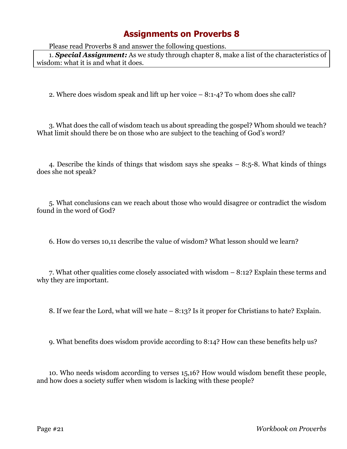Please read Proverbs 8 and answer the following questions.

1. *Special Assignment:* As we study through chapter 8, make a list of the characteristics of wisdom: what it is and what it does.

2. Where does wisdom speak and lift up her voice – 8:1-4? To whom does she call?

3. What does the call of wisdom teach us about spreading the gospel? Whom should we teach? What limit should there be on those who are subject to the teaching of God's word?

4. Describe the kinds of things that wisdom says she speaks – 8:5-8. What kinds of things does she not speak?

5. What conclusions can we reach about those who would disagree or contradict the wisdom found in the word of God?

6. How do verses 10,11 describe the value of wisdom? What lesson should we learn?

7. What other qualities come closely associated with wisdom – 8:12? Explain these terms and why they are important.

8. If we fear the Lord, what will we hate – 8:13? Is it proper for Christians to hate? Explain.

9. What benefits does wisdom provide according to 8:14? How can these benefits help us?

10. Who needs wisdom according to verses 15,16? How would wisdom benefit these people, and how does a society suffer when wisdom is lacking with these people?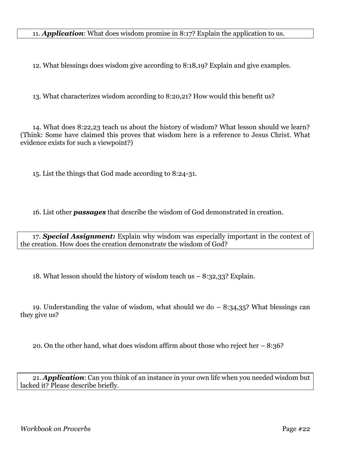11. *Application*: What does wisdom promise in 8:17? Explain the application to us.

12. What blessings does wisdom give according to 8:18,19? Explain and give examples.

13. What characterizes wisdom according to 8:20,21? How would this benefit us?

14. What does 8:22,23 teach us about the history of wisdom? What lesson should we learn? (Think: Some have claimed this proves that wisdom here is a reference to Jesus Christ. What evidence exists for such a viewpoint?)

15. List the things that God made according to 8:24-31.

16. List other *passages* that describe the wisdom of God demonstrated in creation.

17. *Special Assignment:* Explain why wisdom was especially important in the context of the creation. How does the creation demonstrate the wisdom of God?

18. What lesson should the history of wisdom teach us  $-8:32,33$ ? Explain.

19. Understanding the value of wisdom, what should we do  $-8:34,35$ ? What blessings can they give us?

20. On the other hand, what does wisdom affirm about those who reject her  $-8:36$ ?

21. *Application*: Can you think of an instance in your own life when you needed wisdom but lacked it? Please describe briefly.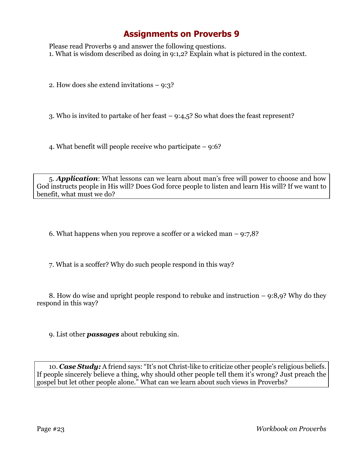Please read Proverbs 9 and answer the following questions. 1. What is wisdom described as doing in 9:1,2? Explain what is pictured in the context.

2. How does she extend invitations – 9:3?

3. Who is invited to partake of her feast – 9:4,5? So what does the feast represent?

4. What benefit will people receive who participate – 9:6?

5. *Application*: What lessons can we learn about man's free will power to choose and how God instructs people in His will? Does God force people to listen and learn His will? If we want to benefit, what must we do?

6. What happens when you reprove a scoffer or a wicked man – 9:7,8?

7. What is a scoffer? Why do such people respond in this way?

8. How do wise and upright people respond to rebuke and instruction – 9:8,9? Why do they respond in this way?

9. List other *passages* about rebuking sin.

10. *Case Study:* A friend says: "It's not Christ-like to criticize other people's religious beliefs. If people sincerely believe a thing, why should other people tell them it's wrong? Just preach the gospel but let other people alone." What can we learn about such views in Proverbs?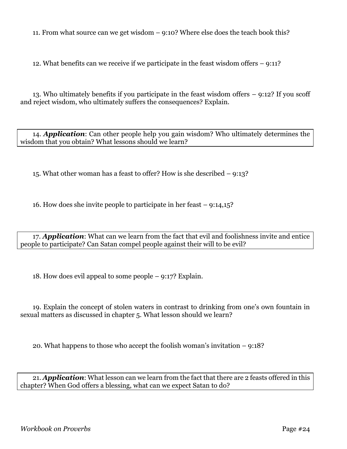11. From what source can we get wisdom – 9:10? Where else does the teach book this?

12. What benefits can we receive if we participate in the feast wisdom offers – 9:11?

13. Who ultimately benefits if you participate in the feast wisdom offers – 9:12? If you scoff and reject wisdom, who ultimately suffers the consequences? Explain.

14. *Application*: Can other people help you gain wisdom? Who ultimately determines the wisdom that you obtain? What lessons should we learn?

15. What other woman has a feast to offer? How is she described – 9:13?

16. How does she invite people to participate in her feast – 9:14,15?

17. *Application*: What can we learn from the fact that evil and foolishness invite and entice people to participate? Can Satan compel people against their will to be evil?

18. How does evil appeal to some people – 9:17? Explain.

19. Explain the concept of stolen waters in contrast to drinking from one's own fountain in sexual matters as discussed in chapter 5. What lesson should we learn?

20. What happens to those who accept the foolish woman's invitation – 9:18?

21. *Application*: What lesson can we learn from the fact that there are 2 feasts offered in this chapter? When God offers a blessing, what can we expect Satan to do?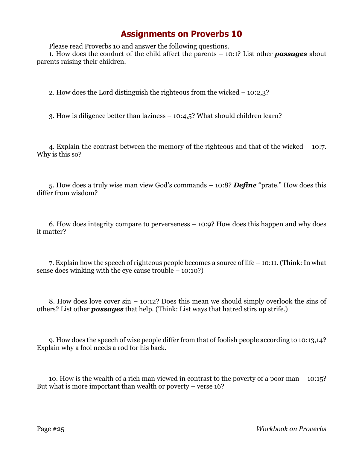Please read Proverbs 10 and answer the following questions.

1. How does the conduct of the child affect the parents – 10:1? List other *passages* about parents raising their children.

2. How does the Lord distinguish the righteous from the wicked – 10:2,3?

3. How is diligence better than laziness – 10:4,5? What should children learn?

4. Explain the contrast between the memory of the righteous and that of the wicked – 10:7. Why is this so?

5. How does a truly wise man view God's commands – 10:8? *Define* "prate." How does this differ from wisdom?

6. How does integrity compare to perverseness – 10:9? How does this happen and why does it matter?

7. Explain how the speech of righteous people becomes a source of life – 10:11. (Think: In what sense does winking with the eye cause trouble – 10:10?)

8. How does love cover sin – 10:12? Does this mean we should simply overlook the sins of others? List other *passages* that help. (Think: List ways that hatred stirs up strife.)

9. How does the speech of wise people differ from that of foolish people according to 10:13,14? Explain why a fool needs a rod for his back.

10. How is the wealth of a rich man viewed in contrast to the poverty of a poor man – 10:15? But what is more important than wealth or poverty – verse 16?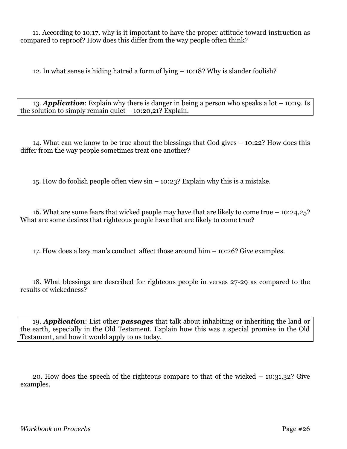11. According to 10:17, why is it important to have the proper attitude toward instruction as compared to reproof? How does this differ from the way people often think?

12. In what sense is hiding hatred a form of lying – 10:18? Why is slander foolish?

13. *Application*: Explain why there is danger in being a person who speaks a lot – 10:19. Is the solution to simply remain quiet – 10:20,21? Explain.

14. What can we know to be true about the blessings that God gives – 10:22? How does this differ from the way people sometimes treat one another?

15. How do foolish people often view sin – 10:23? Explain why this is a mistake.

16. What are some fears that wicked people may have that are likely to come true  $-10:24,25$ ? What are some desires that righteous people have that are likely to come true?

17. How does a lazy man's conduct affect those around him – 10:26? Give examples.

18. What blessings are described for righteous people in verses 27-29 as compared to the results of wickedness?

19. *Application*: List other *passages* that talk about inhabiting or inheriting the land or the earth, especially in the Old Testament. Explain how this was a special promise in the Old Testament, and how it would apply to us today.

20. How does the speech of the righteous compare to that of the wicked – 10:31,32? Give examples.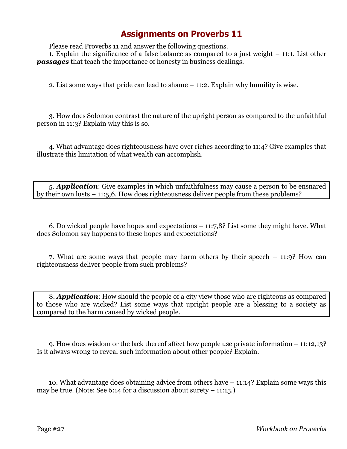Please read Proverbs 11 and answer the following questions.

1. Explain the significance of a false balance as compared to a just weight – 11:1. List other *passages* that teach the importance of honesty in business dealings.

2. List some ways that pride can lead to shame – 11:2. Explain why humility is wise.

3. How does Solomon contrast the nature of the upright person as compared to the unfaithful person in 11:3? Explain why this is so.

4. What advantage does righteousness have over riches according to 11:4? Give examples that illustrate this limitation of what wealth can accomplish.

5. *Application*: Give examples in which unfaithfulness may cause a person to be ensnared by their own lusts – 11:5,6. How does righteousness deliver people from these problems?

6. Do wicked people have hopes and expectations – 11:7,8? List some they might have. What does Solomon say happens to these hopes and expectations?

7. What are some ways that people may harm others by their speech – 11:9? How can righteousness deliver people from such problems?

8. *Application*: How should the people of a city view those who are righteous as compared to those who are wicked? List some ways that upright people are a blessing to a society as compared to the harm caused by wicked people.

9. How does wisdom or the lack thereof affect how people use private information – 11:12,13? Is it always wrong to reveal such information about other people? Explain.

10. What advantage does obtaining advice from others have – 11:14? Explain some ways this may be true. (Note: See 6:14 for a discussion about surety  $-11:15$ .)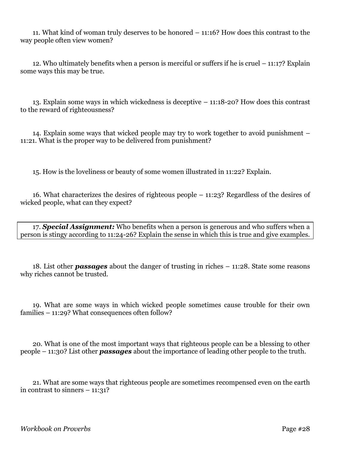11. What kind of woman truly deserves to be honored – 11:16? How does this contrast to the way people often view women?

12. Who ultimately benefits when a person is merciful or suffers if he is cruel – 11:17? Explain some ways this may be true.

13. Explain some ways in which wickedness is deceptive – 11:18-20? How does this contrast to the reward of righteousness?

14. Explain some ways that wicked people may try to work together to avoid punishment – 11:21. What is the proper way to be delivered from punishment?

15. How is the loveliness or beauty of some women illustrated in 11:22? Explain.

16. What characterizes the desires of righteous people – 11:23? Regardless of the desires of wicked people, what can they expect?

17. *Special Assignment:* Who benefits when a person is generous and who suffers when a person is stingy according to 11:24-26? Explain the sense in which this is true and give examples.

18. List other *passages* about the danger of trusting in riches – 11:28. State some reasons why riches cannot be trusted.

19. What are some ways in which wicked people sometimes cause trouble for their own families – 11:29? What consequences often follow?

20. What is one of the most important ways that righteous people can be a blessing to other people – 11:30? List other *passages* about the importance of leading other people to the truth.

21. What are some ways that righteous people are sometimes recompensed even on the earth in contrast to sinners  $-11:31?$ 

*Workbook on Proverbs* Page #28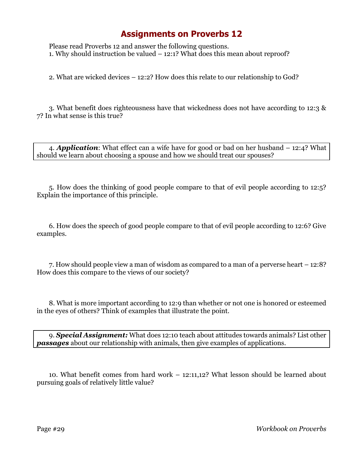Please read Proverbs 12 and answer the following questions. 1. Why should instruction be valued – 12:1? What does this mean about reproof?

2. What are wicked devices – 12:2? How does this relate to our relationship to God?

3. What benefit does righteousness have that wickedness does not have according to 12:3 & 7? In what sense is this true?

4. *Application*: What effect can a wife have for good or bad on her husband – 12:4? What should we learn about choosing a spouse and how we should treat our spouses?

5. How does the thinking of good people compare to that of evil people according to 12:5? Explain the importance of this principle.

6. How does the speech of good people compare to that of evil people according to 12:6? Give examples.

7. How should people view a man of wisdom as compared to a man of a perverse heart – 12:8? How does this compare to the views of our society?

8. What is more important according to 12:9 than whether or not one is honored or esteemed in the eyes of others? Think of examples that illustrate the point.

9. *Special Assignment:* What does 12:10 teach about attitudes towards animals? List other *passages* about our relationship with animals, then give examples of applications.

10. What benefit comes from hard work – 12:11,12? What lesson should be learned about pursuing goals of relatively little value?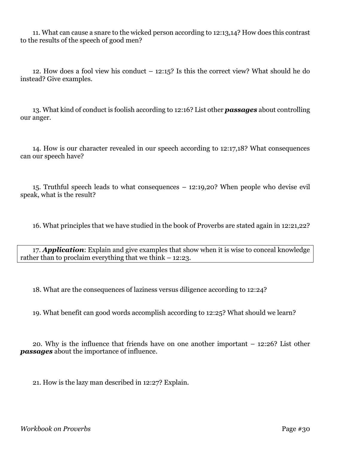11. What can cause a snare to the wicked person according to 12:13,14? How does this contrast to the results of the speech of good men?

12. How does a fool view his conduct – 12:15? Is this the correct view? What should he do instead? Give examples.

13. What kind of conduct is foolish according to 12:16? List other *passages* about controlling our anger.

14. How is our character revealed in our speech according to 12:17,18? What consequences can our speech have?

15. Truthful speech leads to what consequences – 12:19,20? When people who devise evil speak, what is the result?

16. What principles that we have studied in the book of Proverbs are stated again in 12:21,22?

17. *Application*: Explain and give examples that show when it is wise to conceal knowledge rather than to proclaim everything that we think – 12:23.

18. What are the consequences of laziness versus diligence according to 12:24?

19. What benefit can good words accomplish according to 12:25? What should we learn?

20. Why is the influence that friends have on one another important – 12:26? List other *passages* about the importance of influence.

21. How is the lazy man described in 12:27? Explain.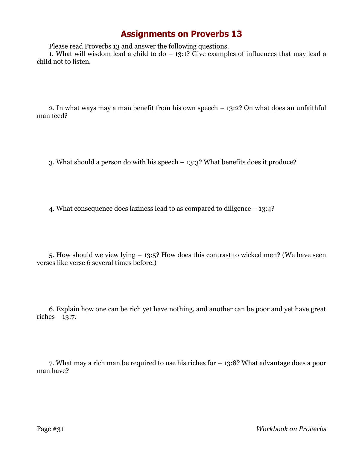Please read Proverbs 13 and answer the following questions.

1. What will wisdom lead a child to do  $-$  13:1? Give examples of influences that may lead a child not to listen.

2. In what ways may a man benefit from his own speech – 13:2? On what does an unfaithful man feed?

3. What should a person do with his speech – 13:3? What benefits does it produce?

4. What consequence does laziness lead to as compared to diligence – 13:4?

5. How should we view lying – 13:5? How does this contrast to wicked men? (We have seen verses like verse 6 several times before.)

6. Explain how one can be rich yet have nothing, and another can be poor and yet have great riches – 13:7.

7. What may a rich man be required to use his riches for – 13:8? What advantage does a poor man have?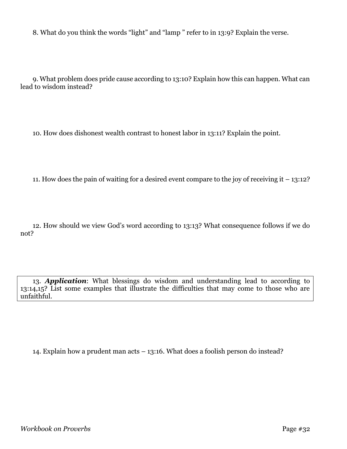8. What do you think the words "light" and "lamp " refer to in 13:9? Explain the verse.

9. What problem does pride cause according to 13:10? Explain how this can happen. What can lead to wisdom instead?

10. How does dishonest wealth contrast to honest labor in 13:11? Explain the point.

11. How does the pain of waiting for a desired event compare to the joy of receiving it – 13:12?

12. How should we view God's word according to 13:13? What consequence follows if we do not?

13. *Application*: What blessings do wisdom and understanding lead to according to 13:14,15? List some examples that illustrate the difficulties that may come to those who are unfaithful.

14. Explain how a prudent man acts – 13:16. What does a foolish person do instead?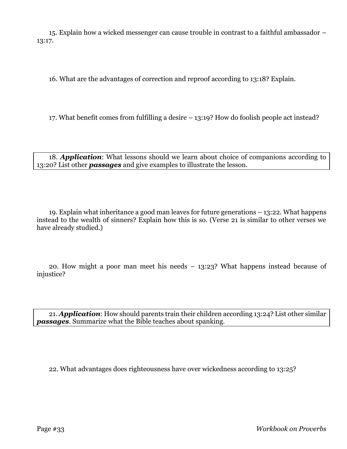15. Explain how a wicked messenger can cause trouble in contrast to a faithful ambassador – 13:17.

16. What are the advantages of correction and reproof according to 13:18? Explain.

17. What benefit comes from fulfilling a desire – 13:19? How do foolish people act instead?

18. *Application*: What lessons should we learn about choice of companions according to 13:20? List other *passages* and give examples to illustrate the lesson.

19. Explain what inheritance a good man leaves for future generations – 13:22. What happens instead to the wealth of sinners? Explain how this is so. (Verse 21 is similar to other verses we have already studied.)

20. How might a poor man meet his needs – 13:23? What happens instead because of injustice?

21. *Application*: How should parents train their children according 13:24? List other similar *passages*. Summarize what the Bible teaches about spanking.

22. What advantages does righteousness have over wickedness according to 13:25?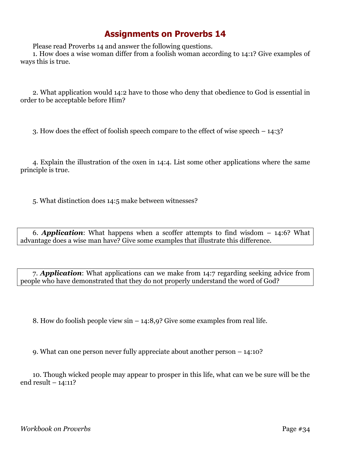Please read Proverbs 14 and answer the following questions.

1. How does a wise woman differ from a foolish woman according to 14:1? Give examples of ways this is true.

2. What application would 14:2 have to those who deny that obedience to God is essential in order to be acceptable before Him?

3. How does the effect of foolish speech compare to the effect of wise speech – 14:3?

4. Explain the illustration of the oxen in 14:4. List some other applications where the same principle is true.

5. What distinction does 14:5 make between witnesses?

6. *Application*: What happens when a scoffer attempts to find wisdom – 14:6? What advantage does a wise man have? Give some examples that illustrate this difference.

7. *Application*: What applications can we make from 14:7 regarding seeking advice from people who have demonstrated that they do not properly understand the word of God?

8. How do foolish people view sin – 14:8,9? Give some examples from real life.

9. What can one person never fully appreciate about another person – 14:10?

10. Though wicked people may appear to prosper in this life, what can we be sure will be the end result – 14:11?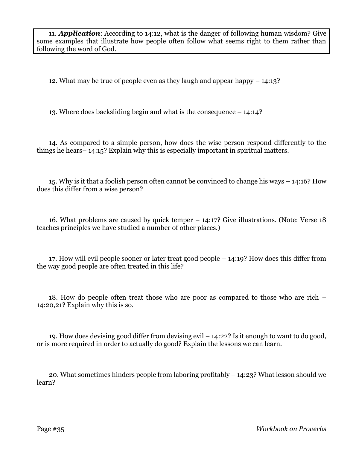11. *Application*: According to 14:12, what is the danger of following human wisdom? Give some examples that illustrate how people often follow what seems right to them rather than following the word of God.

12. What may be true of people even as they laugh and appear happy – 14:13?

13. Where does backsliding begin and what is the consequence – 14:14?

14. As compared to a simple person, how does the wise person respond differently to the things he hears– 14:15? Explain why this is especially important in spiritual matters.

15. Why is it that a foolish person often cannot be convinced to change his ways – 14:16? How does this differ from a wise person?

16. What problems are caused by quick temper – 14:17? Give illustrations. (Note: Verse 18 teaches principles we have studied a number of other places.)

17. How will evil people sooner or later treat good people – 14:19? How does this differ from the way good people are often treated in this life?

18. How do people often treat those who are poor as compared to those who are rich – 14:20,21? Explain why this is so.

19. How does devising good differ from devising evil – 14:22? Is it enough to want to do good, or is more required in order to actually do good? Explain the lessons we can learn.

20. What sometimes hinders people from laboring profitably – 14:23? What lesson should we learn?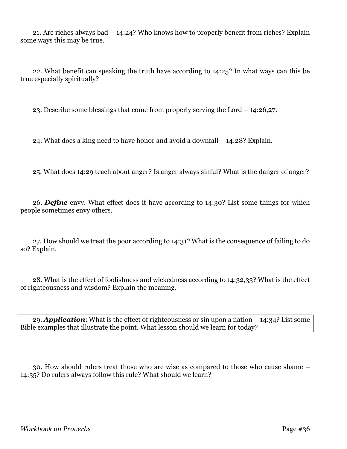21. Are riches always bad – 14:24? Who knows how to properly benefit from riches? Explain some ways this may be true.

22. What benefit can speaking the truth have according to 14:25? In what ways can this be true especially spiritually?

23. Describe some blessings that come from properly serving the Lord – 14:26,27.

24. What does a king need to have honor and avoid a downfall – 14:28? Explain.

25. What does 14:29 teach about anger? Is anger always sinful? What is the danger of anger?

26. *Define* envy. What effect does it have according to 14:30? List some things for which people sometimes envy others.

27. How should we treat the poor according to 14:31? What is the consequence of failing to do so? Explain.

28. What is the effect of foolishness and wickedness according to 14:32,33? What is the effect of righteousness and wisdom? Explain the meaning.

29. *Application*: What is the effect of righteousness or sin upon a nation – 14:34? List some Bible examples that illustrate the point. What lesson should we learn for today?

30. How should rulers treat those who are wise as compared to those who cause shame – 14:35? Do rulers always follow this rule? What should we learn?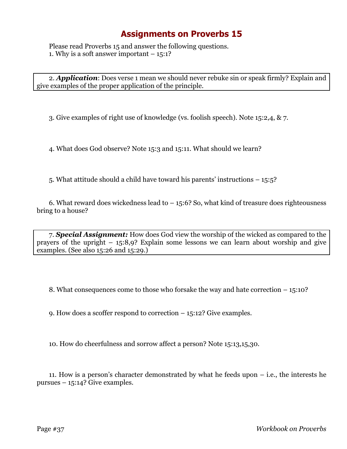Please read Proverbs 15 and answer the following questions. 1. Why is a soft answer important  $-15:1$ ?

2. *Application*: Does verse 1 mean we should never rebuke sin or speak firmly? Explain and give examples of the proper application of the principle.

3. Give examples of right use of knowledge (vs. foolish speech). Note 15:2,4, & 7.

4. What does God observe? Note 15:3 and 15:11. What should we learn?

5. What attitude should a child have toward his parents' instructions – 15:5?

6. What reward does wickedness lead to  $-15:6$ ? So, what kind of treasure does righteousness bring to a house?

7. *Special Assignment:* How does God view the worship of the wicked as compared to the prayers of the upright – 15:8,9? Explain some lessons we can learn about worship and give examples. (See also 15:26 and 15:29.)

8. What consequences come to those who forsake the way and hate correction – 15:10?

9. How does a scoffer respond to correction – 15:12? Give examples.

10. How do cheerfulness and sorrow affect a person? Note 15:13,15,30.

11. How is a person's character demonstrated by what he feeds upon – i.e., the interests he pursues – 15:14? Give examples.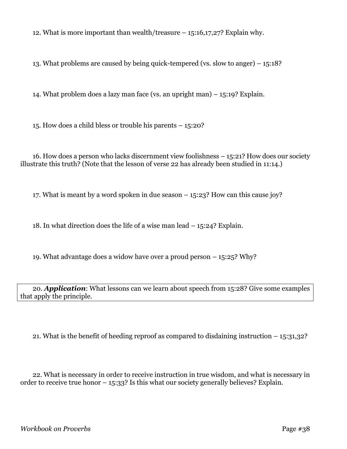12. What is more important than wealth/treasure – 15:16,17,27? Explain why.

13. What problems are caused by being quick-tempered (vs. slow to anger) – 15:18?

14. What problem does a lazy man face (vs. an upright man) – 15:19? Explain.

15. How does a child bless or trouble his parents – 15:20?

16. How does a person who lacks discernment view foolishness – 15:21? How does our society illustrate this truth? (Note that the lesson of verse 22 has already been studied in 11:14.)

17. What is meant by a word spoken in due season – 15:23? How can this cause joy?

18. In what direction does the life of a wise man lead – 15:24? Explain.

19. What advantage does a widow have over a proud person – 15:25? Why?

20. *Application*: What lessons can we learn about speech from 15:28? Give some examples that apply the principle.

21. What is the benefit of heeding reproof as compared to disdaining instruction – 15:31,32?

22. What is necessary in order to receive instruction in true wisdom, and what is necessary in order to receive true honor – 15:33? Is this what our society generally believes? Explain.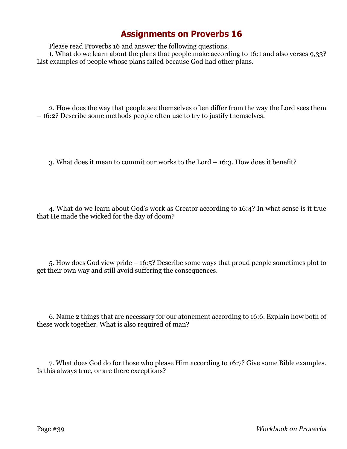Please read Proverbs 16 and answer the following questions.

1. What do we learn about the plans that people make according to 16:1 and also verses 9,33? List examples of people whose plans failed because God had other plans.

2. How does the way that people see themselves often differ from the way the Lord sees them – 16:2? Describe some methods people often use to try to justify themselves.

3. What does it mean to commit our works to the Lord – 16:3. How does it benefit?

4. What do we learn about God's work as Creator according to 16:4? In what sense is it true that He made the wicked for the day of doom?

5. How does God view pride – 16:5? Describe some ways that proud people sometimes plot to get their own way and still avoid suffering the consequences.

6. Name 2 things that are necessary for our atonement according to 16:6. Explain how both of these work together. What is also required of man?

7. What does God do for those who please Him according to 16:7? Give some Bible examples. Is this always true, or are there exceptions?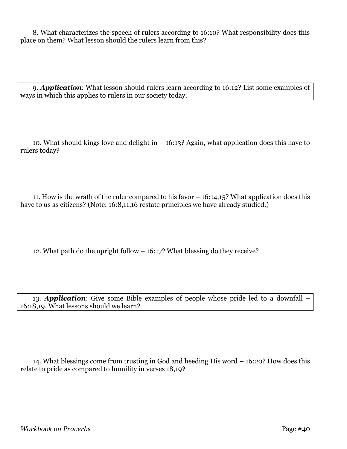8. What characterizes the speech of rulers according to 16:10? What responsibility does this place on them? What lesson should the rulers learn from this?

9. *Application*: What lesson should rulers learn according to 16:12? List some examples of ways in which this applies to rulers in our society today.

10. What should kings love and delight in – 16:13? Again, what application does this have to rulers today?

11. How is the wrath of the ruler compared to his favor – 16:14,15? What application does this have to us as citizens? (Note: 16:8,11,16 restate principles we have already studied.)

12. What path do the upright follow – 16:17? What blessing do they receive?

13. *Application*: Give some Bible examples of people whose pride led to a downfall – 16:18,19. What lessons should we learn?

14. What blessings come from trusting in God and heeding His word – 16:20? How does this relate to pride as compared to humility in verses 18,19?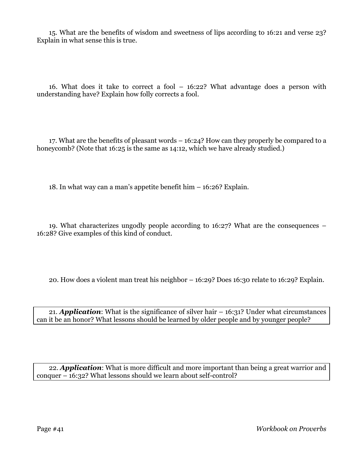15. What are the benefits of wisdom and sweetness of lips according to 16:21 and verse 23? Explain in what sense this is true.

16. What does it take to correct a fool – 16:22? What advantage does a person with understanding have? Explain how folly corrects a fool.

17. What are the benefits of pleasant words – 16:24? How can they properly be compared to a honeycomb? (Note that 16:25 is the same as 14:12, which we have already studied.)

18. In what way can a man's appetite benefit him – 16:26? Explain.

19. What characterizes ungodly people according to 16:27? What are the consequences – 16:28? Give examples of this kind of conduct.

20. How does a violent man treat his neighbor – 16:29? Does 16:30 relate to 16:29? Explain.

21. *Application*: What is the significance of silver hair – 16:31? Under what circumstances can it be an honor? What lessons should be learned by older people and by younger people?

22. *Application*: What is more difficult and more important than being a great warrior and conquer – 16:32? What lessons should we learn about self-control?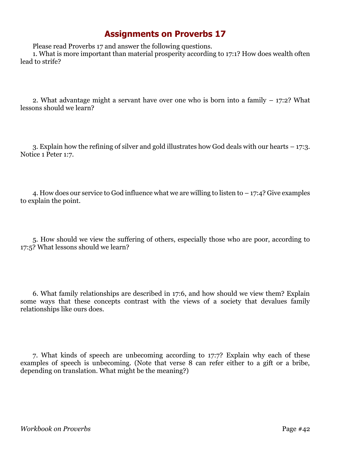Please read Proverbs 17 and answer the following questions.

1. What is more important than material prosperity according to 17:1? How does wealth often lead to strife?

2. What advantage might a servant have over one who is born into a family – 17:2? What lessons should we learn?

3. Explain how the refining of silver and gold illustrates how God deals with our hearts – 17:3. Notice 1 Peter 1:7.

4. How does our service to God influence what we are willing to listen to – 17:4? Give examples to explain the point.

5. How should we view the suffering of others, especially those who are poor, according to 17:5? What lessons should we learn?

6. What family relationships are described in 17:6, and how should we view them? Explain some ways that these concepts contrast with the views of a society that devalues family relationships like ours does.

7. What kinds of speech are unbecoming according to 17:7? Explain why each of these examples of speech is unbecoming. (Note that verse 8 can refer either to a gift or a bribe, depending on translation. What might be the meaning?)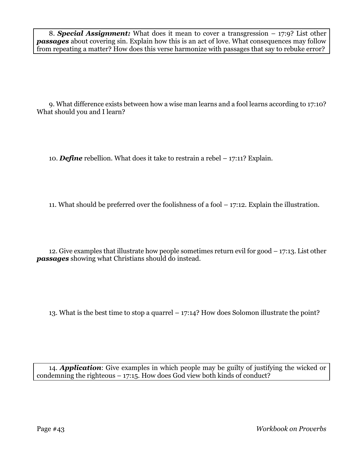8. *Special Assignment:* What does it mean to cover a transgression – 17:9? List other *passages* about covering sin. Explain how this is an act of love. What consequences may follow from repeating a matter? How does this verse harmonize with passages that say to rebuke error?

9. What difference exists between how a wise man learns and a fool learns according to 17:10? What should you and I learn?

10. *Define* rebellion. What does it take to restrain a rebel – 17:11? Explain.

11. What should be preferred over the foolishness of a fool – 17:12. Explain the illustration.

12. Give examples that illustrate how people sometimes return evil for good – 17:13. List other *passages* showing what Christians should do instead.

13. What is the best time to stop a quarrel – 17:14? How does Solomon illustrate the point?

14. *Application*: Give examples in which people may be guilty of justifying the wicked or condemning the righteous  $-17:15$ . How does God view both kinds of conduct?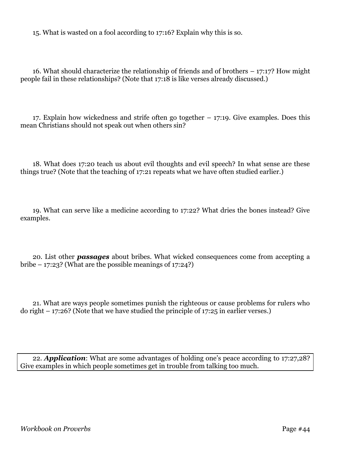15. What is wasted on a fool according to 17:16? Explain why this is so.

16. What should characterize the relationship of friends and of brothers – 17:17? How might people fail in these relationships? (Note that 17:18 is like verses already discussed.)

17. Explain how wickedness and strife often go together – 17:19. Give examples. Does this mean Christians should not speak out when others sin?

18. What does 17:20 teach us about evil thoughts and evil speech? In what sense are these things true? (Note that the teaching of 17:21 repeats what we have often studied earlier.)

19. What can serve like a medicine according to 17:22? What dries the bones instead? Give examples.

20. List other *passages* about bribes. What wicked consequences come from accepting a bribe  $-17:23$ ? (What are the possible meanings of 17:24?)

21. What are ways people sometimes punish the righteous or cause problems for rulers who do right  $-17:26$ ? (Note that we have studied the principle of 17:25 in earlier verses.)

22. *Application*: What are some advantages of holding one's peace according to 17:27,28? Give examples in which people sometimes get in trouble from talking too much.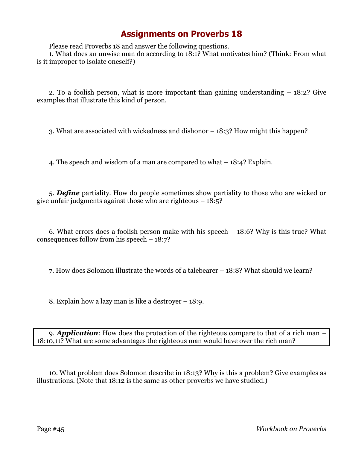Please read Proverbs 18 and answer the following questions.

1. What does an unwise man do according to 18:1? What motivates him? (Think: From what is it improper to isolate oneself?)

2. To a foolish person, what is more important than gaining understanding – 18:2? Give examples that illustrate this kind of person.

3. What are associated with wickedness and dishonor – 18:3? How might this happen?

4. The speech and wisdom of a man are compared to what – 18:4? Explain.

5. *Define* partiality. How do people sometimes show partiality to those who are wicked or give unfair judgments against those who are righteous  $-18:5$ ?

6. What errors does a foolish person make with his speech – 18:6? Why is this true? What consequences follow from his speech – 18:7?

7. How does Solomon illustrate the words of a talebearer – 18:8? What should we learn?

8. Explain how a lazy man is like a destroyer – 18:9.

9. *Application*: How does the protection of the righteous compare to that of a rich man – 18:10,11? What are some advantages the righteous man would have over the rich man?

10. What problem does Solomon describe in 18:13? Why is this a problem? Give examples as illustrations. (Note that 18:12 is the same as other proverbs we have studied.)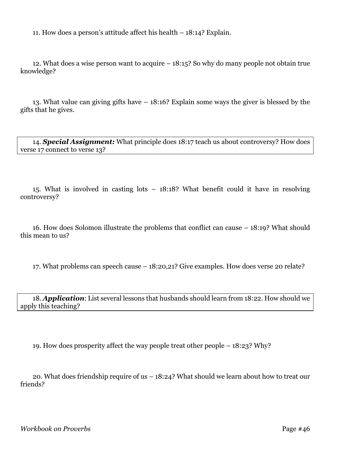11. How does a person's attitude affect his health – 18:14? Explain.

12. What does a wise person want to acquire – 18:15? So why do many people not obtain true knowledge?

13. What value can giving gifts have – 18:16? Explain some ways the giver is blessed by the gifts that he gives.

14. *Special Assignment:* What principle does 18:17 teach us about controversy? How does verse 17 connect to verse 13?

15. What is involved in casting lots – 18:18? What benefit could it have in resolving controversy?

16. How does Solomon illustrate the problems that conflict can cause – 18:19? What should this mean to us?

17. What problems can speech cause – 18:20,21? Give examples. How does verse 20 relate?

18. *Application*: List several lessons that husbands should learn from 18:22. How should we apply this teaching?

19. How does prosperity affect the way people treat other people – 18:23? Why?

20. What does friendship require of us – 18:24? What should we learn about how to treat our friends?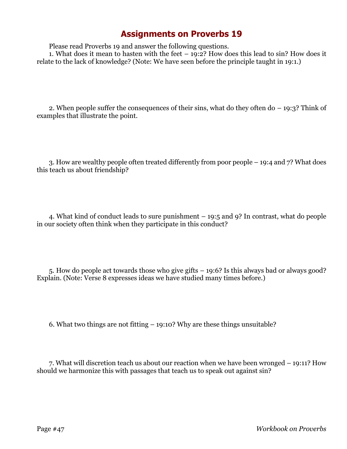Please read Proverbs 19 and answer the following questions.

1. What does it mean to hasten with the feet  $-$  19:2? How does this lead to sin? How does it relate to the lack of knowledge? (Note: We have seen before the principle taught in 19:1.)

2. When people suffer the consequences of their sins, what do they often do – 19:3? Think of examples that illustrate the point.

3. How are wealthy people often treated differently from poor people – 19:4 and 7? What does this teach us about friendship?

4. What kind of conduct leads to sure punishment – 19:5 and 9? In contrast, what do people in our society often think when they participate in this conduct?

5. How do people act towards those who give gifts – 19:6? Is this always bad or always good? Explain. (Note: Verse 8 expresses ideas we have studied many times before.)

6. What two things are not fitting – 19:10? Why are these things unsuitable?

7. What will discretion teach us about our reaction when we have been wronged – 19:11? How should we harmonize this with passages that teach us to speak out against sin?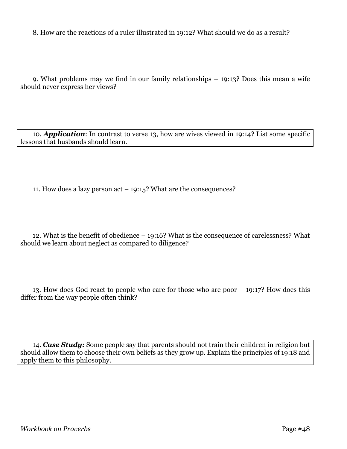8. How are the reactions of a ruler illustrated in 19:12? What should we do as a result?

9. What problems may we find in our family relationships – 19:13? Does this mean a wife should never express her views?

10. *Application*: In contrast to verse 13, how are wives viewed in 19:14? List some specific lessons that husbands should learn.

11. How does a lazy person act – 19:15? What are the consequences?

12. What is the benefit of obedience – 19:16? What is the consequence of carelessness? What should we learn about neglect as compared to diligence?

13. How does God react to people who care for those who are poor – 19:17? How does this differ from the way people often think?

14. *Case Study:* Some people say that parents should not train their children in religion but should allow them to choose their own beliefs as they grow up. Explain the principles of 19:18 and apply them to this philosophy.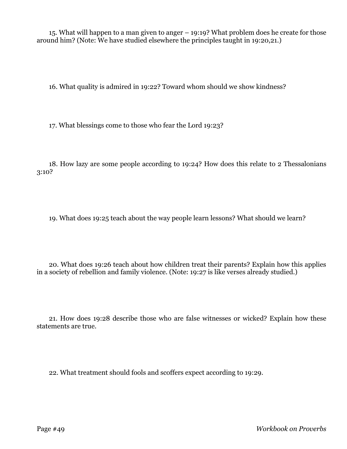15. What will happen to a man given to anger – 19:19? What problem does he create for those around him? (Note: We have studied elsewhere the principles taught in 19:20,21.)

16. What quality is admired in 19:22? Toward whom should we show kindness?

17. What blessings come to those who fear the Lord 19:23?

18. How lazy are some people according to 19:24? How does this relate to 2 Thessalonians 3:10?

19. What does 19:25 teach about the way people learn lessons? What should we learn?

20. What does 19:26 teach about how children treat their parents? Explain how this applies in a society of rebellion and family violence. (Note: 19:27 is like verses already studied.)

21. How does 19:28 describe those who are false witnesses or wicked? Explain how these statements are true.

22. What treatment should fools and scoffers expect according to 19:29.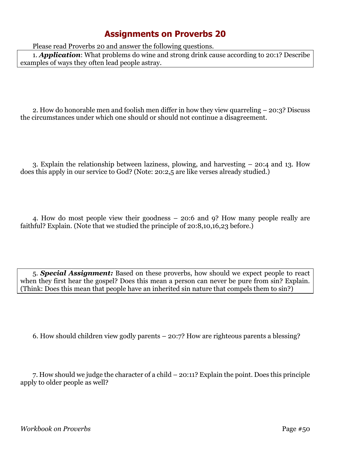Please read Proverbs 20 and answer the following questions.

1. *Application*: What problems do wine and strong drink cause according to 20:1? Describe examples of ways they often lead people astray.

2. How do honorable men and foolish men differ in how they view quarreling – 20:3? Discuss the circumstances under which one should or should not continue a disagreement.

3. Explain the relationship between laziness, plowing, and harvesting – 20:4 and 13. How does this apply in our service to God? (Note: 20:2,5 are like verses already studied.)

4. How do most people view their goodness – 20:6 and 9? How many people really are faithful? Explain. (Note that we studied the principle of 20:8,10,16,23 before.)

5. *Special Assignment:* Based on these proverbs, how should we expect people to react when they first hear the gospel? Does this mean a person can never be pure from sin? Explain. (Think: Does this mean that people have an inherited sin nature that compels them to sin?)

6. How should children view godly parents – 20:7? How are righteous parents a blessing?

7. How should we judge the character of a child – 20:11? Explain the point. Does this principle apply to older people as well?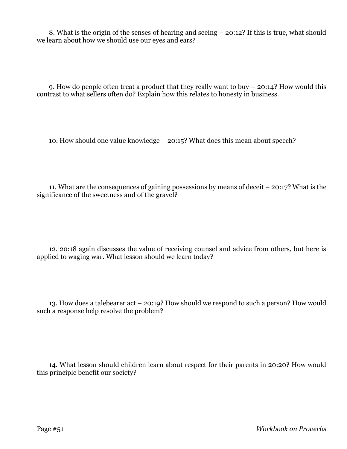8. What is the origin of the senses of hearing and seeing – 20:12? If this is true, what should we learn about how we should use our eyes and ears?

9. How do people often treat a product that they really want to buy – 20:14? How would this contrast to what sellers often do? Explain how this relates to honesty in business.

10. How should one value knowledge – 20:15? What does this mean about speech?

11. What are the consequences of gaining possessions by means of deceit – 20:17? What is the significance of the sweetness and of the gravel?

12. 20:18 again discusses the value of receiving counsel and advice from others, but here is applied to waging war. What lesson should we learn today?

13. How does a talebearer act – 20:19? How should we respond to such a person? How would such a response help resolve the problem?

14. What lesson should children learn about respect for their parents in 20:20? How would this principle benefit our society?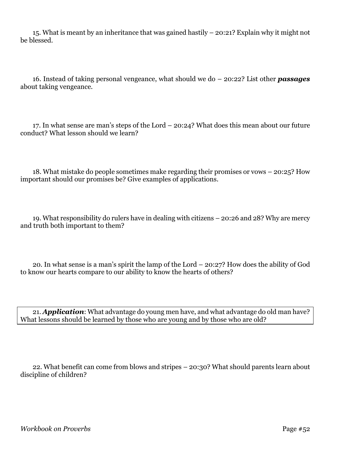15. What is meant by an inheritance that was gained hastily – 20:21? Explain why it might not be blessed.

16. Instead of taking personal vengeance, what should we do – 20:22? List other *passages* about taking vengeance.

17. In what sense are man's steps of the Lord – 20:24? What does this mean about our future conduct? What lesson should we learn?

18. What mistake do people sometimes make regarding their promises or vows – 20:25? How important should our promises be? Give examples of applications.

19. What responsibility do rulers have in dealing with citizens – 20:26 and 28? Why are mercy and truth both important to them?

20. In what sense is a man's spirit the lamp of the Lord – 20:27? How does the ability of God to know our hearts compare to our ability to know the hearts of others?

21. *Application*: What advantage do young men have, and what advantage do old man have? What lessons should be learned by those who are young and by those who are old?

22. What benefit can come from blows and stripes – 20:30? What should parents learn about discipline of children?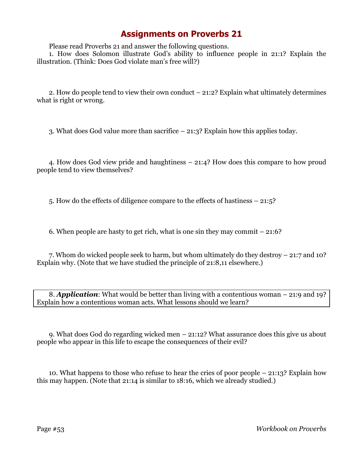Please read Proverbs 21 and answer the following questions.

1. How does Solomon illustrate God's ability to influence people in 21:1? Explain the illustration. (Think: Does God violate man's free will?)

2. How do people tend to view their own conduct – 21:2? Explain what ultimately determines what is right or wrong.

3. What does God value more than sacrifice – 21:3? Explain how this applies today.

4. How does God view pride and haughtiness – 21:4? How does this compare to how proud people tend to view themselves?

5. How do the effects of diligence compare to the effects of hastiness – 21:5?

6. When people are hasty to get rich, what is one sin they may commit – 21:6?

7. Whom do wicked people seek to harm, but whom ultimately do they destroy – 21:7 and 10? Explain why. (Note that we have studied the principle of 21:8,11 elsewhere.)

8. *Application*: What would be better than living with a contentious woman – 21:9 and 19? Explain how a contentious woman acts. What lessons should we learn?

9. What does God do regarding wicked men – 21:12? What assurance does this give us about people who appear in this life to escape the consequences of their evil?

10. What happens to those who refuse to hear the cries of poor people – 21:13? Explain how this may happen. (Note that 21:14 is similar to 18:16, which we already studied.)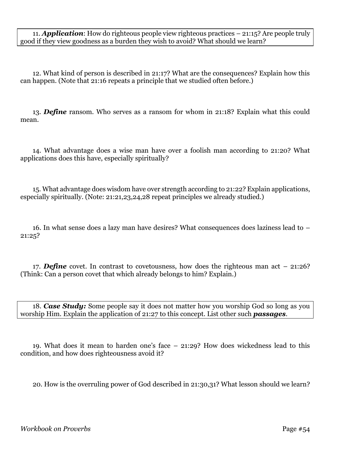11. *Application*: How do righteous people view righteous practices – 21:15? Are people truly good if they view goodness as a burden they wish to avoid? What should we learn?

12. What kind of person is described in 21:17? What are the consequences? Explain how this can happen. (Note that 21:16 repeats a principle that we studied often before.)

13. *Define* ransom. Who serves as a ransom for whom in 21:18? Explain what this could mean.

14. What advantage does a wise man have over a foolish man according to 21:20? What applications does this have, especially spiritually?

15. What advantage does wisdom have over strength according to 21:22? Explain applications, especially spiritually. (Note: 21:21,23,24,28 repeat principles we already studied.)

16. In what sense does a lazy man have desires? What consequences does laziness lead to – 21:25?

17. *Define* covet. In contrast to covetousness, how does the righteous man act – 21:26? (Think: Can a person covet that which already belongs to him? Explain.)

18. *Case Study:* Some people say it does not matter how you worship God so long as you worship Him. Explain the application of 21:27 to this concept. List other such *passages*.

19. What does it mean to harden one's face – 21:29? How does wickedness lead to this condition, and how does righteousness avoid it?

20. How is the overruling power of God described in 21:30,31? What lesson should we learn?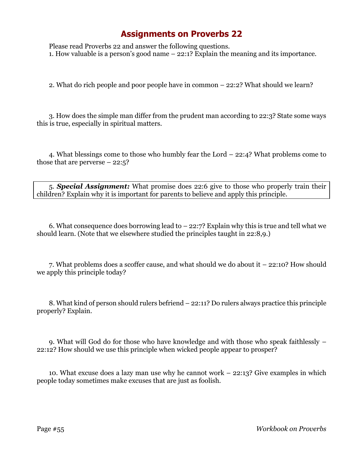Please read Proverbs 22 and answer the following questions. 1. How valuable is a person's good name – 22:1? Explain the meaning and its importance.

2. What do rich people and poor people have in common – 22:2? What should we learn?

3. How does the simple man differ from the prudent man according to 22:3? State some ways this is true, especially in spiritual matters.

4. What blessings come to those who humbly fear the Lord – 22:4? What problems come to those that are perverse  $-22:5$ ?

5. *Special Assignment:* What promise does 22:6 give to those who properly train their children? Explain why it is important for parents to believe and apply this principle.

6. What consequence does borrowing lead to  $-22:7$ ? Explain why this is true and tell what we should learn. (Note that we elsewhere studied the principles taught in 22:8,9.)

7. What problems does a scoffer cause, and what should we do about it – 22:10? How should we apply this principle today?

8. What kind of person should rulers befriend – 22:11? Do rulers always practice this principle properly? Explain.

9. What will God do for those who have knowledge and with those who speak faithlessly – 22:12? How should we use this principle when wicked people appear to prosper?

10. What excuse does a lazy man use why he cannot work – 22:13? Give examples in which people today sometimes make excuses that are just as foolish.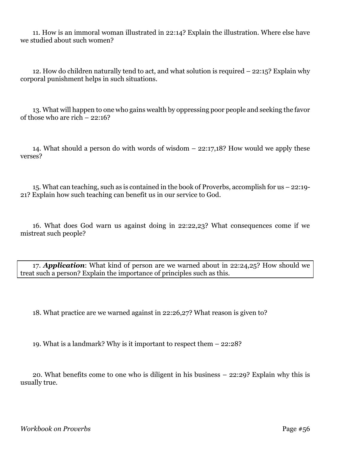11. How is an immoral woman illustrated in 22:14? Explain the illustration. Where else have we studied about such women?

12. How do children naturally tend to act, and what solution is required – 22:15? Explain why corporal punishment helps in such situations.

13. What will happen to one who gains wealth by oppressing poor people and seeking the favor of those who are rich – 22:16?

14. What should a person do with words of wisdom – 22:17,18? How would we apply these verses?

15. What can teaching, such as is contained in the book of Proverbs, accomplish for us – 22:19- 21? Explain how such teaching can benefit us in our service to God.

16. What does God warn us against doing in 22:22,23? What consequences come if we mistreat such people?

17. *Application*: What kind of person are we warned about in 22:24,25? How should we treat such a person? Explain the importance of principles such as this.

18. What practice are we warned against in 22:26,27? What reason is given to?

19. What is a landmark? Why is it important to respect them – 22:28?

20. What benefits come to one who is diligent in his business – 22:29? Explain why this is usually true.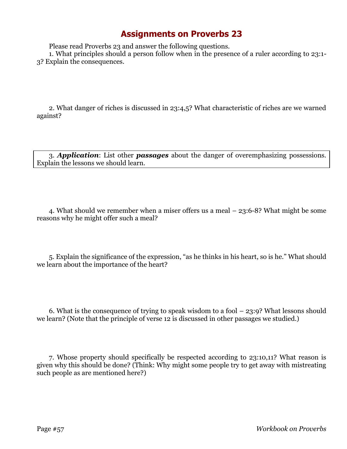Please read Proverbs 23 and answer the following questions.

1. What principles should a person follow when in the presence of a ruler according to 23:1- 3? Explain the consequences.

2. What danger of riches is discussed in 23:4,5? What characteristic of riches are we warned against?

3. *Application*: List other *passages* about the danger of overemphasizing possessions. Explain the lessons we should learn.

4. What should we remember when a miser offers us a meal – 23:6-8? What might be some reasons why he might offer such a meal?

5. Explain the significance of the expression, "as he thinks in his heart, so is he." What should we learn about the importance of the heart?

6. What is the consequence of trying to speak wisdom to a fool  $-23:9$ ? What lessons should we learn? (Note that the principle of verse 12 is discussed in other passages we studied.)

7. Whose property should specifically be respected according to 23:10,11? What reason is given why this should be done? (Think: Why might some people try to get away with mistreating such people as are mentioned here?)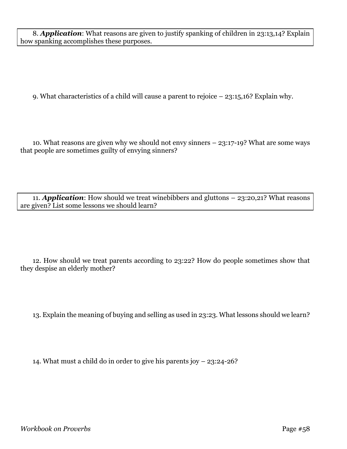8. *Application*: What reasons are given to justify spanking of children in 23:13,14? Explain how spanking accomplishes these purposes.

9. What characteristics of a child will cause a parent to rejoice – 23:15,16? Explain why.

10. What reasons are given why we should not envy sinners – 23:17-19? What are some ways that people are sometimes guilty of envying sinners?

11. *Application*: How should we treat winebibbers and gluttons – 23:20,21? What reasons are given? List some lessons we should learn?

12. How should we treat parents according to 23:22? How do people sometimes show that they despise an elderly mother?

13. Explain the meaning of buying and selling as used in 23:23. What lessons should we learn?

14. What must a child do in order to give his parents joy – 23:24-26?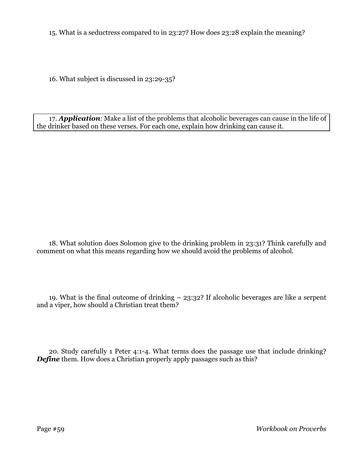15. What is a seductress compared to in 23:27? How does 23:28 explain the meaning?

16. What subject is discussed in 23:29-35?

17. *Application*: Make a list of the problems that alcoholic beverages can cause in the life of the drinker based on these verses. For each one, explain how drinking can cause it.

18. What solution does Solomon give to the drinking problem in 23:31? Think carefully and comment on what this means regarding how we should avoid the problems of alcohol.

19. What is the final outcome of drinking – 23:32? If alcoholic beverages are like a serpent and a viper, how should a Christian treat them?

20. Study carefully 1 Peter 4:1-4. What terms does the passage use that include drinking? *Define* them. How does a Christian properly apply passages such as this?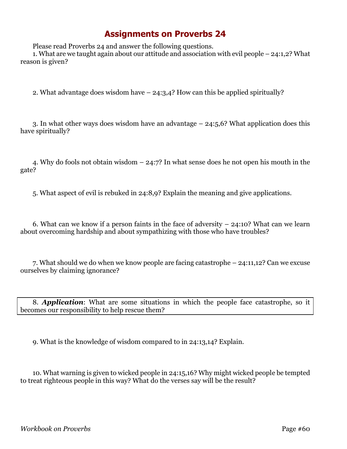Please read Proverbs 24 and answer the following questions.

1. What are we taught again about our attitude and association with evil people – 24:1,2? What reason is given?

2. What advantage does wisdom have – 24:3,4? How can this be applied spiritually?

3. In what other ways does wisdom have an advantage – 24:5,6? What application does this have spiritually?

4. Why do fools not obtain wisdom – 24:7? In what sense does he not open his mouth in the gate?

5. What aspect of evil is rebuked in 24:8,9? Explain the meaning and give applications.

6. What can we know if a person faints in the face of adversity  $-24:10$ ? What can we learn about overcoming hardship and about sympathizing with those who have troubles?

7. What should we do when we know people are facing catastrophe – 24:11,12? Can we excuse ourselves by claiming ignorance?

8. *Application*: What are some situations in which the people face catastrophe, so it becomes our responsibility to help rescue them?

9. What is the knowledge of wisdom compared to in 24:13,14? Explain.

10. What warning is given to wicked people in 24:15,16? Why might wicked people be tempted to treat righteous people in this way? What do the verses say will be the result?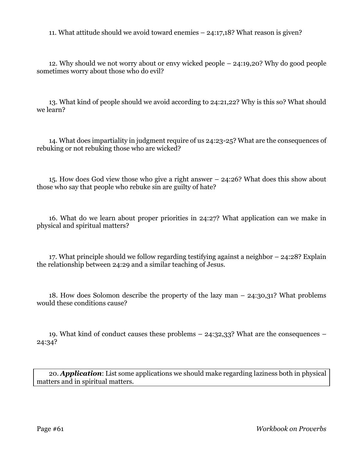11. What attitude should we avoid toward enemies – 24:17,18? What reason is given?

12. Why should we not worry about or envy wicked people – 24:19,20? Why do good people sometimes worry about those who do evil?

13. What kind of people should we avoid according to 24:21,22? Why is this so? What should we learn?

14. What does impartiality in judgment require of us 24:23-25? What are the consequences of rebuking or not rebuking those who are wicked?

15. How does God view those who give a right answer – 24:26? What does this show about those who say that people who rebuke sin are guilty of hate?

16. What do we learn about proper priorities in 24:27? What application can we make in physical and spiritual matters?

17. What principle should we follow regarding testifying against a neighbor – 24:28? Explain the relationship between 24:29 and a similar teaching of Jesus.

18. How does Solomon describe the property of the lazy man – 24:30,31? What problems would these conditions cause?

19. What kind of conduct causes these problems – 24:32,33? What are the consequences – 24:34?

20. *Application*: List some applications we should make regarding laziness both in physical matters and in spiritual matters.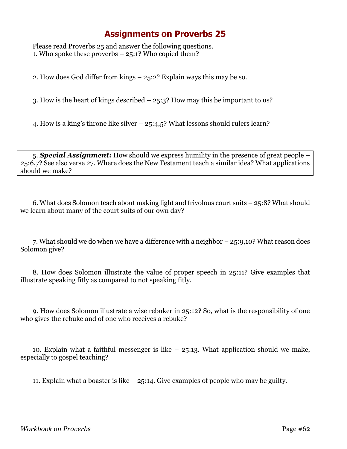Please read Proverbs 25 and answer the following questions. 1. Who spoke these proverbs – 25:1? Who copied them?

2. How does God differ from kings – 25:2? Explain ways this may be so.

3. How is the heart of kings described – 25:3? How may this be important to us?

4. How is a king's throne like silver – 25:4,5? What lessons should rulers learn?

5. *Special Assignment:* How should we express humility in the presence of great people – 25:6,7? See also verse 27. Where does the New Testament teach a similar idea? What applications should we make?

6. What does Solomon teach about making light and frivolous court suits – 25:8? What should we learn about many of the court suits of our own day?

7. What should we do when we have a difference with a neighbor – 25:9,10? What reason does Solomon give?

8. How does Solomon illustrate the value of proper speech in 25:11? Give examples that illustrate speaking fitly as compared to not speaking fitly.

9. How does Solomon illustrate a wise rebuker in 25:12? So, what is the responsibility of one who gives the rebuke and of one who receives a rebuke?

10. Explain what a faithful messenger is like  $-25:13$ . What application should we make, especially to gospel teaching?

11. Explain what a boaster is like – 25:14. Give examples of people who may be guilty.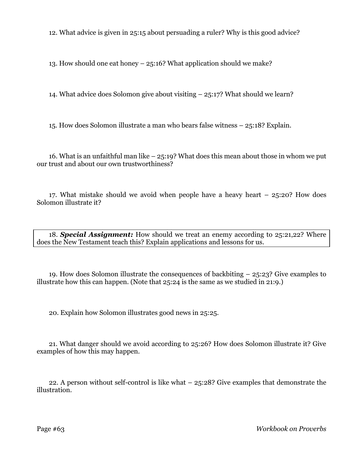12. What advice is given in 25:15 about persuading a ruler? Why is this good advice?

13. How should one eat honey – 25:16? What application should we make?

14. What advice does Solomon give about visiting – 25:17? What should we learn?

15. How does Solomon illustrate a man who bears false witness – 25:18? Explain.

16. What is an unfaithful man like  $-25:19$ ? What does this mean about those in whom we put our trust and about our own trustworthiness?

17. What mistake should we avoid when people have a heavy heart – 25:20? How does Solomon illustrate it?

18. *Special Assignment:* How should we treat an enemy according to 25:21,22? Where does the New Testament teach this? Explain applications and lessons for us.

19. How does Solomon illustrate the consequences of backbiting – 25:23? Give examples to illustrate how this can happen. (Note that 25:24 is the same as we studied in 21:9.)

20. Explain how Solomon illustrates good news in 25:25.

21. What danger should we avoid according to 25:26? How does Solomon illustrate it? Give examples of how this may happen.

22. A person without self-control is like what – 25:28? Give examples that demonstrate the illustration.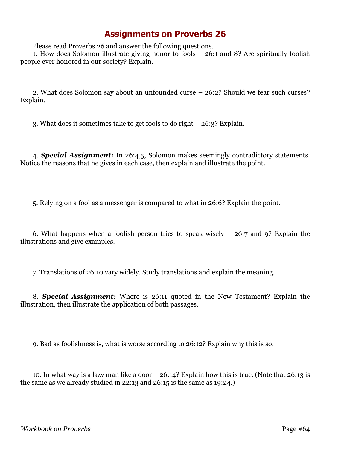Please read Proverbs 26 and answer the following questions.

1. How does Solomon illustrate giving honor to fools – 26:1 and 8? Are spiritually foolish people ever honored in our society? Explain.

2. What does Solomon say about an unfounded curse – 26:2? Should we fear such curses? Explain.

3. What does it sometimes take to get fools to do right – 26:3? Explain.

4. *Special Assignment:* In 26:4,5, Solomon makes seemingly contradictory statements. Notice the reasons that he gives in each case, then explain and illustrate the point.

5. Relying on a fool as a messenger is compared to what in 26:6? Explain the point.

6. What happens when a foolish person tries to speak wisely – 26:7 and 9? Explain the illustrations and give examples.

7. Translations of 26:10 vary widely. Study translations and explain the meaning.

8. *Special Assignment:* Where is 26:11 quoted in the New Testament? Explain the illustration, then illustrate the application of both passages.

9. Bad as foolishness is, what is worse according to 26:12? Explain why this is so.

10. In what way is a lazy man like a door – 26:14? Explain how this is true. (Note that 26:13 is the same as we already studied in 22:13 and 26:15 is the same as 19:24.)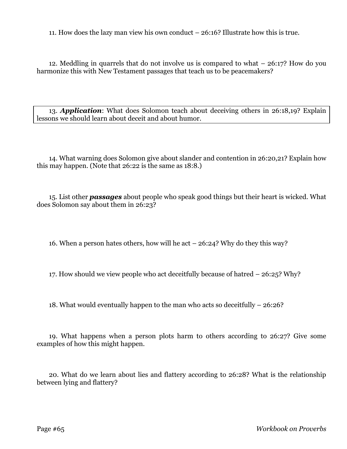11. How does the lazy man view his own conduct – 26:16? Illustrate how this is true.

12. Meddling in quarrels that do not involve us is compared to what – 26:17? How do you harmonize this with New Testament passages that teach us to be peacemakers?

13. *Application*: What does Solomon teach about deceiving others in 26:18,19? Explain lessons we should learn about deceit and about humor.

14. What warning does Solomon give about slander and contention in 26:20,21? Explain how this may happen. (Note that 26:22 is the same as 18:8.)

15. List other *passages* about people who speak good things but their heart is wicked. What does Solomon say about them in 26:23?

16. When a person hates others, how will he act – 26:24? Why do they this way?

17. How should we view people who act deceitfully because of hatred – 26:25? Why?

18. What would eventually happen to the man who acts so deceitfully – 26:26?

19. What happens when a person plots harm to others according to 26:27? Give some examples of how this might happen.

20. What do we learn about lies and flattery according to 26:28? What is the relationship between lying and flattery?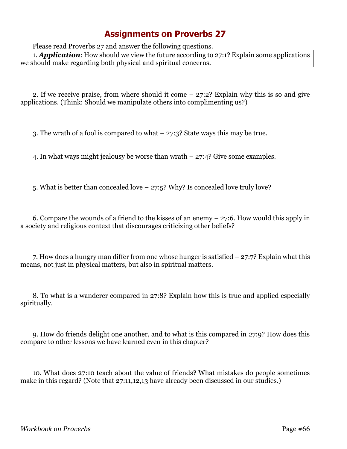Please read Proverbs 27 and answer the following questions.

1. *Application*: How should we view the future according to 27:1? Explain some applications we should make regarding both physical and spiritual concerns.

2. If we receive praise, from where should it come – 27:2? Explain why this is so and give applications. (Think: Should we manipulate others into complimenting us?)

3. The wrath of a fool is compared to what – 27:3? State ways this may be true.

4. In what ways might jealousy be worse than wrath – 27:4? Give some examples.

5. What is better than concealed love – 27:5? Why? Is concealed love truly love?

6. Compare the wounds of a friend to the kisses of an enemy – 27:6. How would this apply in a society and religious context that discourages criticizing other beliefs?

7. How does a hungry man differ from one whose hunger is satisfied – 27:7? Explain what this means, not just in physical matters, but also in spiritual matters.

8. To what is a wanderer compared in 27:8? Explain how this is true and applied especially spiritually.

9. How do friends delight one another, and to what is this compared in 27:9? How does this compare to other lessons we have learned even in this chapter?

10. What does 27:10 teach about the value of friends? What mistakes do people sometimes make in this regard? (Note that 27:11,12,13 have already been discussed in our studies.)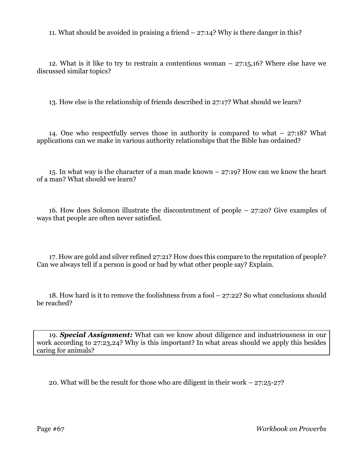11. What should be avoided in praising a friend – 27:14? Why is there danger in this?

12. What is it like to try to restrain a contentious woman  $-27:15,16$ ? Where else have we discussed similar topics?

13. How else is the relationship of friends described in 27:17? What should we learn?

14. One who respectfully serves those in authority is compared to what – 27:18? What applications can we make in various authority relationships that the Bible has ordained?

15. In what way is the character of a man made known – 27:19? How can we know the heart of a man? What should we learn?

16. How does Solomon illustrate the discontentment of people – 27:20? Give examples of ways that people are often never satisfied.

17. How are gold and silver refined 27:21? How does this compare to the reputation of people? Can we always tell if a person is good or bad by what other people say? Explain.

18. How hard is it to remove the foolishness from a fool – 27:22? So what conclusions should be reached?

19. *Special Assignment:* What can we know about diligence and industriousness in our work according to 27:23,24? Why is this important? In what areas should we apply this besides caring for animals?

20. What will be the result for those who are diligent in their work – 27:25-27?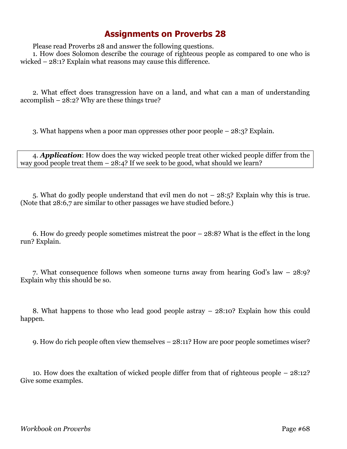Please read Proverbs 28 and answer the following questions.

1. How does Solomon describe the courage of righteous people as compared to one who is wicked – 28:1? Explain what reasons may cause this difference.

2. What effect does transgression have on a land, and what can a man of understanding accomplish – 28:2? Why are these things true?

3. What happens when a poor man oppresses other poor people – 28:3? Explain.

4. *Application*: How does the way wicked people treat other wicked people differ from the way good people treat them  $-28:4$ ? If we seek to be good, what should we learn?

5. What do godly people understand that evil men do not – 28:5? Explain why this is true. (Note that 28:6,7 are similar to other passages we have studied before.)

6. How do greedy people sometimes mistreat the poor – 28:8? What is the effect in the long run? Explain.

7. What consequence follows when someone turns away from hearing God's law – 28:9? Explain why this should be so.

8. What happens to those who lead good people astray – 28:10? Explain how this could happen.

9. How do rich people often view themselves – 28:11? How are poor people sometimes wiser?

10. How does the exaltation of wicked people differ from that of righteous people – 28:12? Give some examples.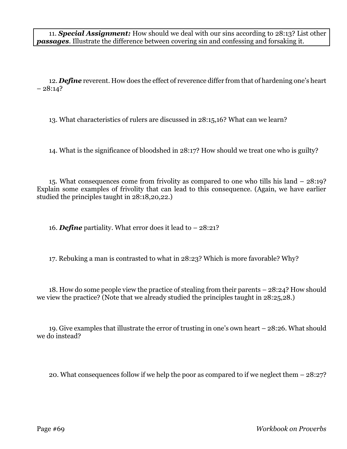11. *Special Assignment:* How should we deal with our sins according to 28:13? List other *passages*. Illustrate the difference between covering sin and confessing and forsaking it.

12. *Define* reverent. How does the effect of reverence differ from that of hardening one's heart  $-28:14?$ 

13. What characteristics of rulers are discussed in 28:15,16? What can we learn?

14. What is the significance of bloodshed in 28:17? How should we treat one who is guilty?

15. What consequences come from frivolity as compared to one who tills his land – 28:19? Explain some examples of frivolity that can lead to this consequence. (Again, we have earlier studied the principles taught in 28:18,20,22.)

16. *Define* partiality. What error does it lead to – 28:21?

17. Rebuking a man is contrasted to what in 28:23? Which is more favorable? Why?

18. How do some people view the practice of stealing from their parents – 28:24? How should we view the practice? (Note that we already studied the principles taught in 28:25,28.)

19. Give examples that illustrate the error of trusting in one's own heart – 28:26. What should we do instead?

20. What consequences follow if we help the poor as compared to if we neglect them – 28:27?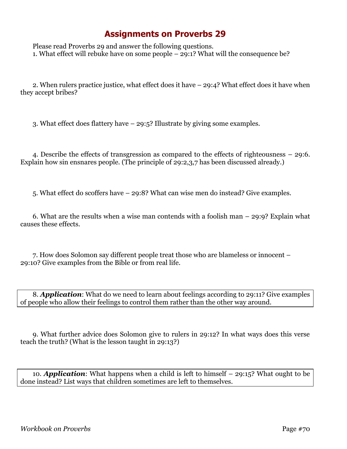Please read Proverbs 29 and answer the following questions. 1. What effect will rebuke have on some people – 29:1? What will the consequence be?

2. When rulers practice justice, what effect does it have – 29:4? What effect does it have when they accept bribes?

3. What effect does flattery have – 29:5? Illustrate by giving some examples.

4. Describe the effects of transgression as compared to the effects of righteousness – 29:6. Explain how sin ensnares people. (The principle of 29:2,3,7 has been discussed already.)

5. What effect do scoffers have – 29:8? What can wise men do instead? Give examples.

6. What are the results when a wise man contends with a foolish man – 29:9? Explain what causes these effects.

7. How does Solomon say different people treat those who are blameless or innocent – 29:10? Give examples from the Bible or from real life.

8. *Application*: What do we need to learn about feelings according to 29:11? Give examples of people who allow their feelings to control them rather than the other way around.

9. What further advice does Solomon give to rulers in 29:12? In what ways does this verse teach the truth? (What is the lesson taught in 29:13?)

10. *Application*: What happens when a child is left to himself – 29:15? What ought to be done instead? List ways that children sometimes are left to themselves.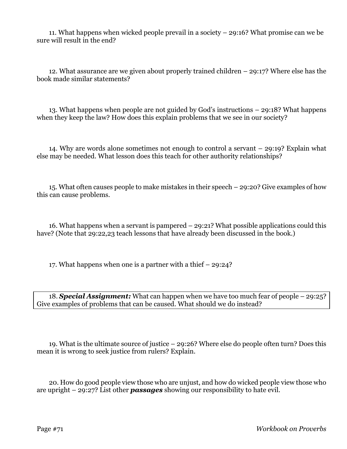11. What happens when wicked people prevail in a society – 29:16? What promise can we be sure will result in the end?

12. What assurance are we given about properly trained children – 29:17? Where else has the book made similar statements?

13. What happens when people are not guided by God's instructions – 29:18? What happens when they keep the law? How does this explain problems that we see in our society?

14. Why are words alone sometimes not enough to control a servant – 29:19? Explain what else may be needed. What lesson does this teach for other authority relationships?

15. What often causes people to make mistakes in their speech – 29:20? Give examples of how this can cause problems.

16. What happens when a servant is pampered – 29:21? What possible applications could this have? (Note that 29:22,23 teach lessons that have already been discussed in the book.)

17. What happens when one is a partner with a thief – 29:24?

18. *Special Assignment:* What can happen when we have too much fear of people – 29:25? Give examples of problems that can be caused. What should we do instead?

19. What is the ultimate source of justice – 29:26? Where else do people often turn? Does this mean it is wrong to seek justice from rulers? Explain.

20. How do good people view those who are unjust, and how do wicked people view those who are upright – 29:27? List other *passages* showing our responsibility to hate evil.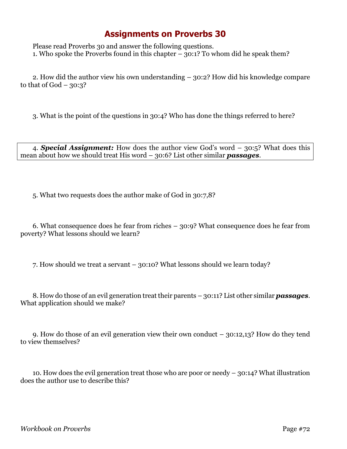Please read Proverbs 30 and answer the following questions. 1. Who spoke the Proverbs found in this chapter  $-30:1$ ? To whom did he speak them?

2. How did the author view his own understanding – 30:2? How did his knowledge compare to that of  $God - 30:3?$ 

3. What is the point of the questions in 30:4? Who has done the things referred to here?

4. *Special Assignment:* How does the author view God's word – 30:5? What does this mean about how we should treat His word – 30:6? List other similar *passages*.

5. What two requests does the author make of God in 30:7,8?

6. What consequence does he fear from riches – 30:9? What consequence does he fear from poverty? What lessons should we learn?

7. How should we treat a servant – 30:10? What lessons should we learn today?

8. How do those of an evil generation treat their parents – 30:11? List other similar *passages*. What application should we make?

9. How do those of an evil generation view their own conduct – 30:12,13? How do they tend to view themselves?

10. How does the evil generation treat those who are poor or needy – 30:14? What illustration does the author use to describe this?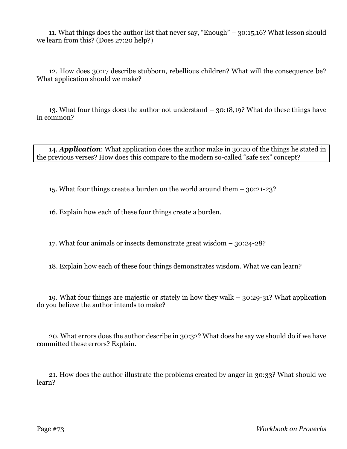11. What things does the author list that never say, "Enough" – 30:15,16? What lesson should we learn from this? (Does 27:20 help?)

12. How does 30:17 describe stubborn, rebellious children? What will the consequence be? What application should we make?

13. What four things does the author not understand – 30:18,19? What do these things have in common?

14. *Application*: What application does the author make in 30:20 of the things he stated in the previous verses? How does this compare to the modern so-called "safe sex" concept?

15. What four things create a burden on the world around them – 30:21-23?

16. Explain how each of these four things create a burden.

17. What four animals or insects demonstrate great wisdom – 30:24-28?

18. Explain how each of these four things demonstrates wisdom. What we can learn?

19. What four things are majestic or stately in how they walk – 30:29-31? What application do you believe the author intends to make?

20. What errors does the author describe in 30:32? What does he say we should do if we have committed these errors? Explain.

21. How does the author illustrate the problems created by anger in 30:33? What should we learn?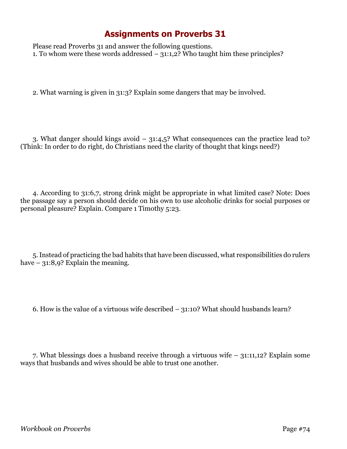## **Assignments on Proverbs 31**

Please read Proverbs 31 and answer the following questions. 1. To whom were these words addressed  $-31:1,2$ ? Who taught him these principles?

2. What warning is given in 31:3? Explain some dangers that may be involved.

3. What danger should kings avoid – 31:4,5? What consequences can the practice lead to? (Think: In order to do right, do Christians need the clarity of thought that kings need?)

4. According to 31:6,7, strong drink might be appropriate in what limited case? Note: Does the passage say a person should decide on his own to use alcoholic drinks for social purposes or personal pleasure? Explain. Compare 1 Timothy 5:23.

5. Instead of practicing the bad habits that have been discussed, what responsibilities do rulers have – 31:8,9? Explain the meaning.

6. How is the value of a virtuous wife described – 31:10? What should husbands learn?

7. What blessings does a husband receive through a virtuous wife – 31:11,12? Explain some ways that husbands and wives should be able to trust one another.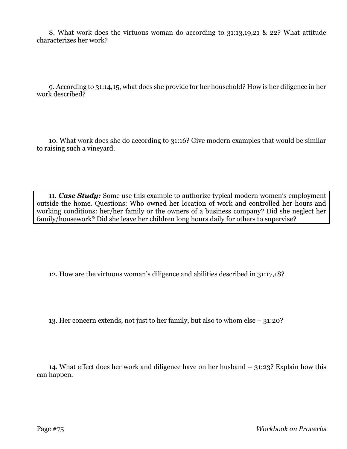8. What work does the virtuous woman do according to 31:13,19,21 & 22? What attitude characterizes her work?

9. According to 31:14,15, what does she provide for her household? How is her diligence in her work described?

10. What work does she do according to 31:16? Give modern examples that would be similar to raising such a vineyard.

11. *Case Study:* Some use this example to authorize typical modern women's employment outside the home. Questions: Who owned her location of work and controlled her hours and working conditions: her/her family or the owners of a business company? Did she neglect her family/housework? Did she leave her children long hours daily for others to supervise?

12. How are the virtuous woman's diligence and abilities described in 31:17,18?

13. Her concern extends, not just to her family, but also to whom else – 31:20?

14. What effect does her work and diligence have on her husband – 31:23? Explain how this can happen.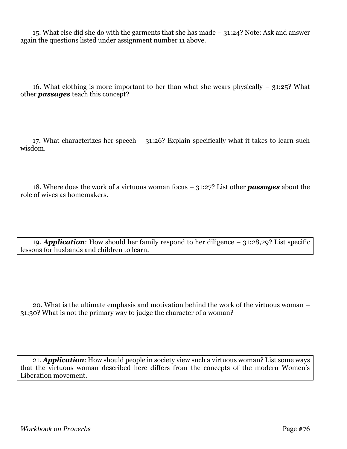15. What else did she do with the garments that she has made – 31:24? Note: Ask and answer again the questions listed under assignment number 11 above.

16. What clothing is more important to her than what she wears physically  $-31:25$ ? What other *passages* teach this concept?

17. What characterizes her speech – 31:26? Explain specifically what it takes to learn such wisdom.

18. Where does the work of a virtuous woman focus – 31:27? List other *passages* about the role of wives as homemakers.

19. *Application*: How should her family respond to her diligence – 31:28,29? List specific lessons for husbands and children to learn.

20. What is the ultimate emphasis and motivation behind the work of the virtuous woman – 31:30? What is not the primary way to judge the character of a woman?

21. *Application*: How should people in society view such a virtuous woman? List some ways that the virtuous woman described here differs from the concepts of the modern Women's Liberation movement.